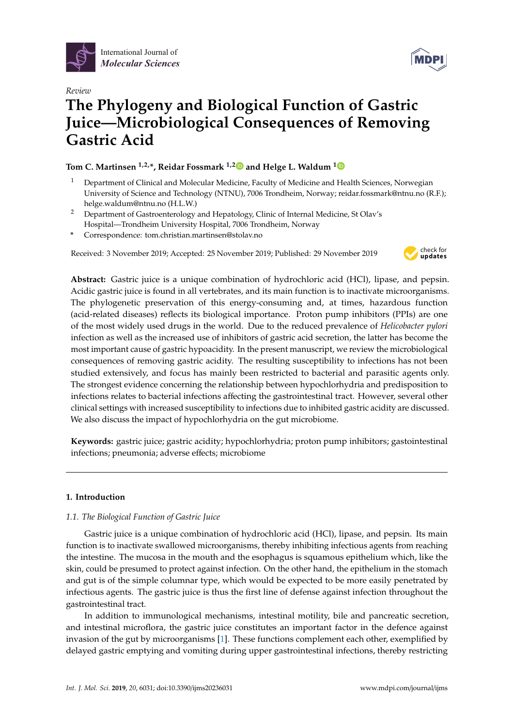



# *Review* **The Phylogeny and Biological Function of Gastric Juice—Microbiological Consequences of Removing Gastric Acid**

# **Tom C. Martinsen 1,2,\*, Reidar Fossmark 1,[2](https://orcid.org/0000-0002-5365-9357) and Helge L. Waldum [1](https://orcid.org/0000-0002-3137-0843)**

- <sup>1</sup> Department of Clinical and Molecular Medicine, Faculty of Medicine and Health Sciences, Norwegian University of Science and Technology (NTNU), 7006 Trondheim, Norway; reidar.fossmark@ntnu.no (R.F.); helge.waldum@ntnu.no (H.L.W.)
- <sup>2</sup> Department of Gastroenterology and Hepatology, Clinic of Internal Medicine, St Olav's Hospital—Trondheim University Hospital, 7006 Trondheim, Norway
- **\*** Correspondence: tom.christian.martinsen@stolav.no

Received: 3 November 2019; Accepted: 25 November 2019; Published: 29 November 2019



**Abstract:** Gastric juice is a unique combination of hydrochloric acid (HCl), lipase, and pepsin. Acidic gastric juice is found in all vertebrates, and its main function is to inactivate microorganisms. The phylogenetic preservation of this energy-consuming and, at times, hazardous function (acid-related diseases) reflects its biological importance. Proton pump inhibitors (PPIs) are one of the most widely used drugs in the world. Due to the reduced prevalence of *Helicobacter pylori* infection as well as the increased use of inhibitors of gastric acid secretion, the latter has become the most important cause of gastric hypoacidity. In the present manuscript, we review the microbiological consequences of removing gastric acidity. The resulting susceptibility to infections has not been studied extensively, and focus has mainly been restricted to bacterial and parasitic agents only. The strongest evidence concerning the relationship between hypochlorhydria and predisposition to infections relates to bacterial infections affecting the gastrointestinal tract. However, several other clinical settings with increased susceptibility to infections due to inhibited gastric acidity are discussed. We also discuss the impact of hypochlorhydria on the gut microbiome.

**Keywords:** gastric juice; gastric acidity; hypochlorhydria; proton pump inhibitors; gastointestinal infections; pneumonia; adverse effects; microbiome

# **1. Introduction**

# *1.1. The Biological Function of Gastric Juice*

Gastric juice is a unique combination of hydrochloric acid (HCl), lipase, and pepsin. Its main function is to inactivate swallowed microorganisms, thereby inhibiting infectious agents from reaching the intestine. The mucosa in the mouth and the esophagus is squamous epithelium which, like the skin, could be presumed to protect against infection. On the other hand, the epithelium in the stomach and gut is of the simple columnar type, which would be expected to be more easily penetrated by infectious agents. The gastric juice is thus the first line of defense against infection throughout the gastrointestinal tract.

In addition to immunological mechanisms, intestinal motility, bile and pancreatic secretion, and intestinal microflora, the gastric juice constitutes an important factor in the defence against invasion of the gut by microorganisms [\[1\]](#page-12-0). These functions complement each other, exemplified by delayed gastric emptying and vomiting during upper gastrointestinal infections, thereby restricting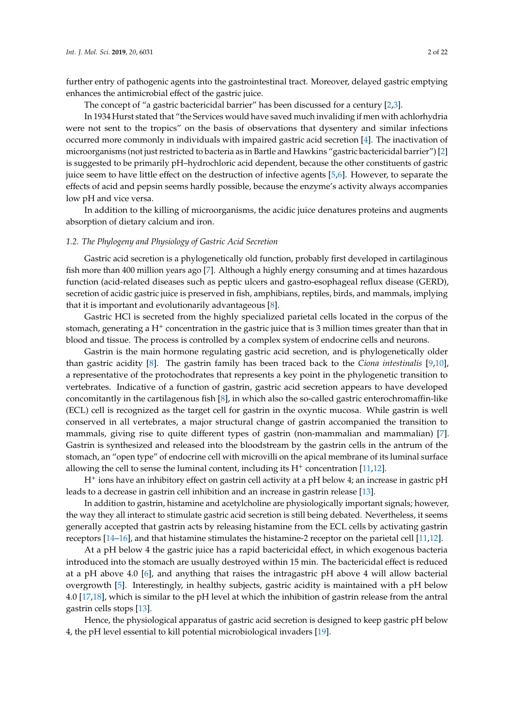further entry of pathogenic agents into the gastrointestinal tract. Moreover, delayed gastric emptying enhances the antimicrobial effect of the gastric juice.

The concept of "a gastric bactericidal barrier" has been discussed for a century [\[2](#page-12-1)[,3\]](#page-12-2).

In 1934 Hurst stated that "the Services would have saved much invaliding if men with achlorhydria were not sent to the tropics" on the basis of observations that dysentery and similar infections occurred more commonly in individuals with impaired gastric acid secretion [\[4\]](#page-12-3). The inactivation of microorganisms (not just restricted to bacteria as in Bartle and Hawkins "gastric bactericidal barrier") [\[2\]](#page-12-1) is suggested to be primarily pH–hydrochloric acid dependent, because the other constituents of gastric juice seem to have little effect on the destruction of infective agents [\[5](#page-12-4)[,6\]](#page-12-5). However, to separate the effects of acid and pepsin seems hardly possible, because the enzyme's activity always accompanies low pH and vice versa.

In addition to the killing of microorganisms, the acidic juice denatures proteins and augments absorption of dietary calcium and iron.

# *1.2. The Phylogeny and Physiology of Gastric Acid Secretion*

Gastric acid secretion is a phylogenetically old function, probably first developed in cartilaginous fish more than 400 million years ago [\[7\]](#page-12-6). Although a highly energy consuming and at times hazardous function (acid-related diseases such as peptic ulcers and gastro-esophageal reflux disease (GERD), secretion of acidic gastric juice is preserved in fish, amphibians, reptiles, birds, and mammals, implying that it is important and evolutionarily advantageous [\[8\]](#page-12-7).

Gastric HCl is secreted from the highly specialized parietal cells located in the corpus of the stomach, generating a  $H^+$  concentration in the gastric juice that is 3 million times greater than that in blood and tissue. The process is controlled by a complex system of endocrine cells and neurons.

Gastrin is the main hormone regulating gastric acid secretion, and is phylogenetically older than gastric acidity [\[8\]](#page-12-7). The gastrin family has been traced back to the *Ciona intestinalis* [\[9,](#page-12-8)[10\]](#page-12-9), a representative of the protochodrates that represents a key point in the phylogenetic transition to vertebrates. Indicative of a function of gastrin, gastric acid secretion appears to have developed concomitantly in the cartilagenous fish [\[8\]](#page-12-7), in which also the so-called gastric enterochromaffin-like (ECL) cell is recognized as the target cell for gastrin in the oxyntic mucosa. While gastrin is well conserved in all vertebrates, a major structural change of gastrin accompanied the transition to mammals, giving rise to quite different types of gastrin (non-mammalian and mammalian) [\[7\]](#page-12-6). Gastrin is synthesized and released into the bloodstream by the gastrin cells in the antrum of the stomach, an "open type" of endocrine cell with microvilli on the apical membrane of its luminal surface allowing the cell to sense the luminal content, including its  $H^+$  concentration [\[11](#page-12-10)[,12\]](#page-12-11).

H<sup>+</sup> ions have an inhibitory effect on gastrin cell activity at a pH below 4; an increase in gastric pH leads to a decrease in gastrin cell inhibition and an increase in gastrin release [\[13\]](#page-12-12).

In addition to gastrin, histamine and acetylcholine are physiologically important signals; however, the way they all interact to stimulate gastric acid secretion is still being debated. Nevertheless, it seems generally accepted that gastrin acts by releasing histamine from the ECL cells by activating gastrin receptors [\[14–](#page-12-13)[16\]](#page-12-14), and that histamine stimulates the histamine-2 receptor on the parietal cell [\[11](#page-12-10)[,12\]](#page-12-11).

At a pH below 4 the gastric juice has a rapid bactericidal effect, in which exogenous bacteria introduced into the stomach are usually destroyed within 15 min. The bactericidal effect is reduced at a pH above 4.0 [\[6\]](#page-12-5), and anything that raises the intragastric pH above 4 will allow bacterial overgrowth [\[5\]](#page-12-4). Interestingly, in healthy subjects, gastric acidity is maintained with a pH below 4.0 [\[17,](#page-12-15)[18\]](#page-12-16), which is similar to the pH level at which the inhibition of gastrin release from the antral gastrin cells stops [\[13\]](#page-12-12).

Hence, the physiological apparatus of gastric acid secretion is designed to keep gastric pH below 4, the pH level essential to kill potential microbiological invaders [\[19\]](#page-12-17).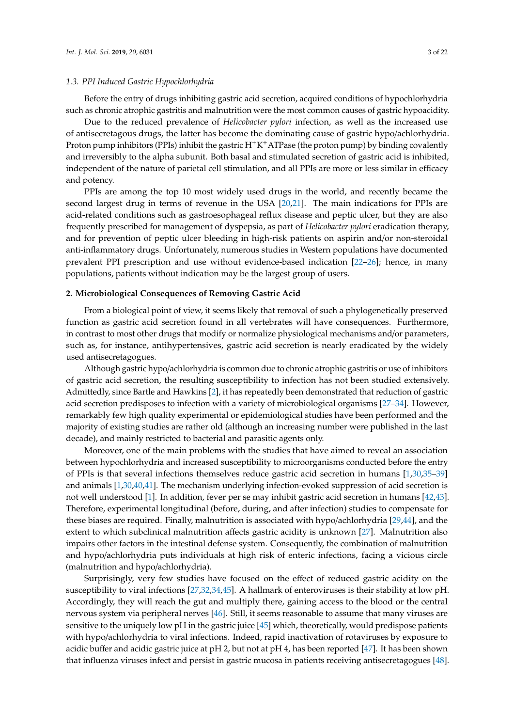## *1.3. PPI Induced Gastric Hypochlorhydria*

Before the entry of drugs inhibiting gastric acid secretion, acquired conditions of hypochlorhydria such as chronic atrophic gastritis and malnutrition were the most common causes of gastric hypoacidity.

Due to the reduced prevalence of *Helicobacter pylori* infection, as well as the increased use of antisecretagous drugs, the latter has become the dominating cause of gastric hypo/achlorhydria. Proton pump inhibitors (PPIs) inhibit the gastric  $H^+K^+ATP$ ase (the proton pump) by binding covalently and irreversibly to the alpha subunit. Both basal and stimulated secretion of gastric acid is inhibited, independent of the nature of parietal cell stimulation, and all PPIs are more or less similar in efficacy and potency.

PPIs are among the top 10 most widely used drugs in the world, and recently became the second largest drug in terms of revenue in the USA [\[20](#page-12-18)[,21\]](#page-13-0). The main indications for PPIs are acid-related conditions such as gastroesophageal reflux disease and peptic ulcer, but they are also frequently prescribed for management of dyspepsia, as part of *Helicobacter pylori* eradication therapy, and for prevention of peptic ulcer bleeding in high-risk patients on aspirin and/or non-steroidal anti-inflammatory drugs. Unfortunately, numerous studies in Western populations have documented prevalent PPI prescription and use without evidence-based indication [\[22–](#page-13-1)[26\]](#page-13-2); hence, in many populations, patients without indication may be the largest group of users.

#### **2. Microbiological Consequences of Removing Gastric Acid**

From a biological point of view, it seems likely that removal of such a phylogenetically preserved function as gastric acid secretion found in all vertebrates will have consequences. Furthermore, in contrast to most other drugs that modify or normalize physiological mechanisms and/or parameters, such as, for instance, antihypertensives, gastric acid secretion is nearly eradicated by the widely used antisecretagogues.

Although gastric hypo/achlorhydria is common due to chronic atrophic gastritis or use of inhibitors of gastric acid secretion, the resulting susceptibility to infection has not been studied extensively. Admittedly, since Bartle and Hawkins [\[2\]](#page-12-1), it has repeatedly been demonstrated that reduction of gastric acid secretion predisposes to infection with a variety of microbiological organisms [\[27–](#page-13-3)[34\]](#page-13-4). However, remarkably few high quality experimental or epidemiological studies have been performed and the majority of existing studies are rather old (although an increasing number were published in the last decade), and mainly restricted to bacterial and parasitic agents only.

Moreover, one of the main problems with the studies that have aimed to reveal an association between hypochlorhydria and increased susceptibility to microorganisms conducted before the entry of PPIs is that several infections themselves reduce gastric acid secretion in humans [\[1](#page-12-0)[,30](#page-13-5)[,35](#page-13-6)[–39\]](#page-13-7) and animals [\[1](#page-12-0)[,30,](#page-13-5)[40,](#page-13-8)[41\]](#page-13-9). The mechanism underlying infection-evoked suppression of acid secretion is not well understood [\[1\]](#page-12-0). In addition, fever per se may inhibit gastric acid secretion in humans [\[42](#page-13-10)[,43\]](#page-13-11). Therefore, experimental longitudinal (before, during, and after infection) studies to compensate for these biases are required. Finally, malnutrition is associated with hypo/achlorhydria [\[29](#page-13-12)[,44\]](#page-13-13), and the extent to which subclinical malnutrition affects gastric acidity is unknown [\[27\]](#page-13-3). Malnutrition also impairs other factors in the intestinal defense system. Consequently, the combination of malnutrition and hypo/achlorhydria puts individuals at high risk of enteric infections, facing a vicious circle (malnutrition and hypo/achlorhydria).

Surprisingly, very few studies have focused on the effect of reduced gastric acidity on the susceptibility to viral infections [\[27,](#page-13-3)[32,](#page-13-14)[34](#page-13-4)[,45\]](#page-13-15). A hallmark of enteroviruses is their stability at low pH. Accordingly, they will reach the gut and multiply there, gaining access to the blood or the central nervous system via peripheral nerves [\[46\]](#page-13-16). Still, it seems reasonable to assume that many viruses are sensitive to the uniquely low pH in the gastric juice [\[45\]](#page-13-15) which, theoretically, would predispose patients with hypo/achlorhydria to viral infections. Indeed, rapid inactivation of rotaviruses by exposure to acidic buffer and acidic gastric juice at pH 2, but not at pH 4, has been reported [\[47\]](#page-14-0). It has been shown that influenza viruses infect and persist in gastric mucosa in patients receiving antisecretagogues [\[48\]](#page-14-1).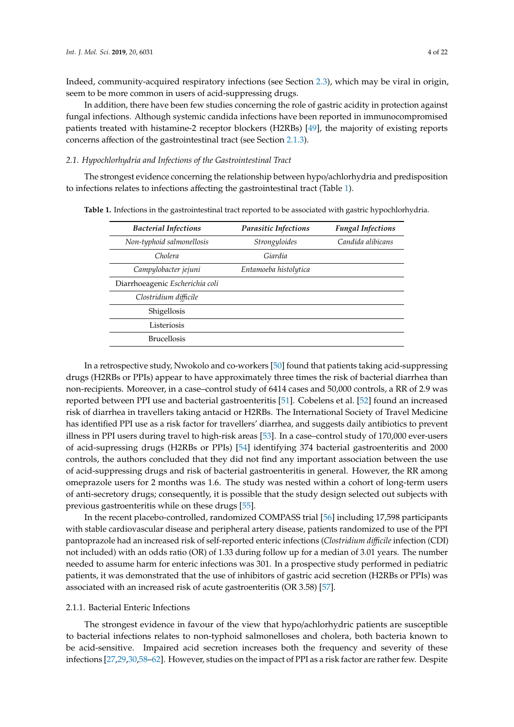Indeed, community-acquired respiratory infections (see Section [2.3\)](#page-8-0), which may be viral in origin, seem to be more common in users of acid-suppressing drugs.

In addition, there have been few studies concerning the role of gastric acidity in protection against fungal infections. Although systemic candida infections have been reported in immunocompromised patients treated with histamine-2 receptor blockers (H2RBs) [\[49\]](#page-14-2), the majority of existing reports concerns affection of the gastrointestinal tract (see Section [2.1.3\)](#page-6-0).

## *2.1. Hypochlorhydria and Infections of the Gastrointestinal Tract*

The strongest evidence concerning the relationship between hypo/achlorhydria and predisposition to infections relates to infections affecting the gastrointestinal tract (Table [1\)](#page-3-0).

| <b>Bacterial Infections</b>     | <b>Parasitic Infections</b> | <b>Fungal Infections</b> |
|---------------------------------|-----------------------------|--------------------------|
| Non-typhoid salmonellosis       | Strongyloides               | Candida alibicans        |
| Cholera                         | Giardia                     |                          |
| Campylobacter jejuni            | Entamoeba histolytica       |                          |
| Diarrhoeagenic Escherichia coli |                             |                          |
| Clostridium difficile           |                             |                          |
| Shigellosis                     |                             |                          |
| Listeriosis                     |                             |                          |
| <b>Brucellosis</b>              |                             |                          |

<span id="page-3-0"></span>**Table 1.** Infections in the gastrointestinal tract reported to be associated with gastric hypochlorhydria.

In a retrospective study, Nwokolo and co-workers [\[50\]](#page-14-3) found that patients taking acid-suppressing drugs (H2RBs or PPIs) appear to have approximately three times the risk of bacterial diarrhea than non-recipients. Moreover, in a case–control study of 6414 cases and 50,000 controls, a RR of 2.9 was reported between PPI use and bacterial gastroenteritis [\[51\]](#page-14-4). Cobelens et al. [\[52\]](#page-14-5) found an increased risk of diarrhea in travellers taking antacid or H2RBs. The International Society of Travel Medicine has identified PPI use as a risk factor for travellers' diarrhea, and suggests daily antibiotics to prevent illness in PPI users during travel to high-risk areas [\[53\]](#page-14-6). In a case–control study of 170,000 ever-users of acid-supressing drugs (H2RBs or PPIs) [\[54\]](#page-14-7) identifying 374 bacterial gastroenteritis and 2000 controls, the authors concluded that they did not find any important association between the use of acid-suppressing drugs and risk of bacterial gastroenteritis in general. However, the RR among omeprazole users for 2 months was 1.6. The study was nested within a cohort of long-term users of anti-secretory drugs; consequently, it is possible that the study design selected out subjects with previous gastroenteritis while on these drugs [\[55\]](#page-14-8).

In the recent placebo-controlled, randomized COMPASS trial [\[56\]](#page-14-9) including 17,598 participants with stable cardiovascular disease and peripheral artery disease, patients randomized to use of the PPI pantoprazole had an increased risk of self-reported enteric infections (*Clostridium di*ffi*cile* infection (CDI) not included) with an odds ratio (OR) of 1.33 during follow up for a median of 3.01 years. The number needed to assume harm for enteric infections was 301. In a prospective study performed in pediatric patients, it was demonstrated that the use of inhibitors of gastric acid secretion (H2RBs or PPIs) was associated with an increased risk of acute gastroenteritis (OR 3.58) [\[57\]](#page-14-10).

# 2.1.1. Bacterial Enteric Infections

The strongest evidence in favour of the view that hypo/achlorhydric patients are susceptible to bacterial infections relates to non-typhoid salmonelloses and cholera, both bacteria known to be acid-sensitive. Impaired acid secretion increases both the frequency and severity of these infections [\[27,](#page-13-3)[29,](#page-13-12)[30,](#page-13-5)[58](#page-14-11)[–62\]](#page-14-12). However, studies on the impact of PPI as a risk factor are rather few. Despite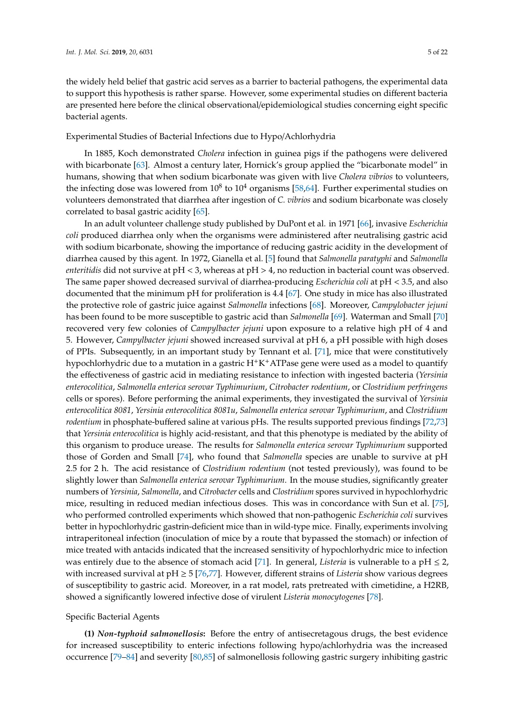the widely held belief that gastric acid serves as a barrier to bacterial pathogens, the experimental data to support this hypothesis is rather sparse. However, some experimental studies on different bacteria are presented here before the clinical observational/epidemiological studies concerning eight specific bacterial agents.

# Experimental Studies of Bacterial Infections due to Hypo/Achlorhydria

In 1885, Koch demonstrated *Cholera* infection in guinea pigs if the pathogens were delivered with bicarbonate [\[63\]](#page-14-13). Almost a century later, Hornick's group applied the "bicarbonate model" in humans, showing that when sodium bicarbonate was given with live *Cholera vibrios* to volunteers, the infecting dose was lowered from  $10^8$  to  $10^4$  organisms [\[58,](#page-14-11)[64\]](#page-14-14). Further experimental studies on volunteers demonstrated that diarrhea after ingestion of *C. vibrios* and sodium bicarbonate was closely correlated to basal gastric acidity [\[65\]](#page-14-15).

In an adult volunteer challenge study published by DuPont et al. in 1971 [\[66\]](#page-14-16), invasive *Escherichia coli* produced diarrhea only when the organisms were administered after neutralising gastric acid with sodium bicarbonate, showing the importance of reducing gastric acidity in the development of diarrhea caused by this agent. In 1972, Gianella et al. [\[5\]](#page-12-4) found that *Salmonella paratyphi* and *Salmonella enteritidis* did not survive at pH < 3, whereas at pH > 4, no reduction in bacterial count was observed. The same paper showed decreased survival of diarrhea-producing *Escherichia coli* at pH < 3.5, and also documented that the minimum pH for proliferation is 4.4 [\[67\]](#page-14-17). One study in mice has also illustrated the protective role of gastric juice against *Salmonella* infections [\[68\]](#page-14-18). Moreover, *Campylobacter jejuni* has been found to be more susceptible to gastric acid than *Salmonella* [\[69\]](#page-14-19). Waterman and Small [\[70\]](#page-14-20) recovered very few colonies of *Campylbacter jejuni* upon exposure to a relative high pH of 4 and 5. However, *Campylbacter jejuni* showed increased survival at pH 6, a pH possible with high doses of PPIs. Subsequently, in an important study by Tennant et al. [\[71\]](#page-15-0), mice that were constitutively hypochlorhydric due to a mutation in a gastric  $\rm H^+K^+ATP$ ase gene were used as a model to quantify the effectiveness of gastric acid in mediating resistance to infection with ingested bacteria (*Yersinia enterocolitica*, *Salmonella enterica serovar Typhimurium*, *Citrobacter rodentium*, or *Clostridium perfringens* cells or spores). Before performing the animal experiments, they investigated the survival of *Yersinia enterocolitica 8081*, *Yersinia enterocolitica 8081u*, *Salmonella enterica serovar Typhimurium*, and *Clostridium rodentium* in phosphate-buffered saline at various pHs. The results supported previous findings [\[72,](#page-15-1)[73\]](#page-15-2) that *Yersinia enterocolitica* is highly acid-resistant, and that this phenotype is mediated by the ability of this organism to produce urease. The results for *Salmonella enterica serovar Typhimurium* supported those of Gorden and Small [\[74\]](#page-15-3), who found that *Salmonella* species are unable to survive at pH 2.5 for 2 h. The acid resistance of *Clostridium rodentium* (not tested previously), was found to be slightly lower than *Salmonella enterica serovar Typhimurium*. In the mouse studies, significantly greater numbers of *Yersinia*, *Salmonella*, and *Citrobacter* cells and *Clostridium* spores survived in hypochlorhydric mice, resulting in reduced median infectious doses. This was in concordance with Sun et al. [\[75\]](#page-15-4), who performed controlled experiments which showed that non-pathogenic *Escherichia coli* survives better in hypochlorhydric gastrin-deficient mice than in wild-type mice. Finally, experiments involving intraperitoneal infection (inoculation of mice by a route that bypassed the stomach) or infection of mice treated with antacids indicated that the increased sensitivity of hypochlorhydric mice to infection was entirely due to the absence of stomach acid [\[71\]](#page-15-0). In general, *Listeria* is vulnerable to a pH  $\leq$  2, with increased survival at pH ≥ 5 [\[76](#page-15-5)[,77\]](#page-15-6). However, different strains of *Listeria* show various degrees of susceptibility to gastric acid. Moreover, in a rat model, rats pretreated with cimetidine, a H2RB, showed a significantly lowered infective dose of virulent *Listeria monocytogenes* [\[78\]](#page-15-7).

# Specific Bacterial Agents

**(1)** *Non-typhoid salmonellosis***:** Before the entry of antisecretagous drugs, the best evidence for increased susceptibility to enteric infections following hypo/achlorhydria was the increased occurrence [\[79](#page-15-8)[–84\]](#page-15-9) and severity [\[80,](#page-15-10)[85\]](#page-15-11) of salmonellosis following gastric surgery inhibiting gastric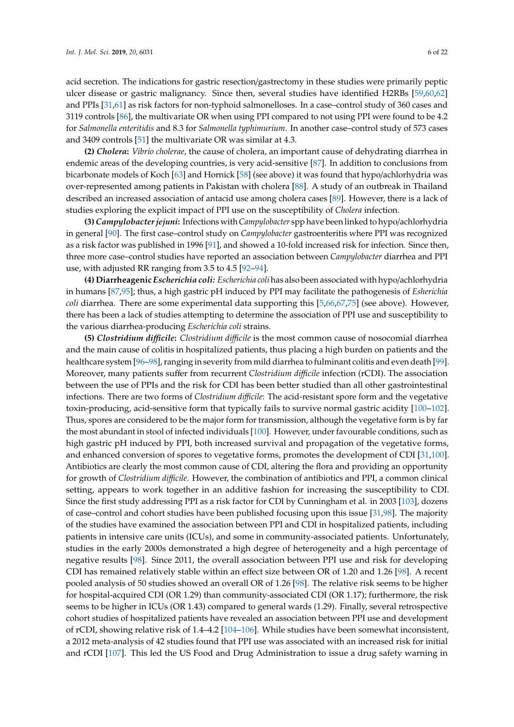acid secretion. The indications for gastric resection/gastrectomy in these studies were primarily peptic ulcer disease or gastric malignancy. Since then, several studies have identified H2RBs [\[59](#page-14-21)[,60](#page-14-22)[,62\]](#page-14-12) and PPIs [\[31](#page-13-17)[,61\]](#page-14-23) as risk factors for non-typhoid salmonelloses. In a case–control study of 360 cases and 3119 controls [\[86\]](#page-15-12), the multivariate OR when using PPI compared to not using PPI were found to be 4.2 for *Salmonella enteritidis* and 8.3 for *Salmonella typhimurium*. In another case–control study of 573 cases and 3409 controls [\[51\]](#page-14-4) the multivariate OR was similar at 4.3.

**(2)** *Cholera***:** *Vibrio cholerae*, the cause of cholera, an important cause of dehydrating diarrhea in endemic areas of the developing countries, is very acid-sensitive [\[87\]](#page-15-13). In addition to conclusions from bicarbonate models of Koch [\[63\]](#page-14-13) and Hornick [\[58\]](#page-14-11) (see above) it was found that hypo/achlorhydria was over-represented among patients in Pakistan with cholera [\[88\]](#page-15-14). A study of an outbreak in Thailand described an increased association of antacid use among cholera cases [\[89\]](#page-15-15). However, there is a lack of studies exploring the explicit impact of PPI use on the susceptibility of *Cholera* infection.

**(3)***Campylobacter jejuni***:** Infections with*Campylobacter* spp have been linked to hypo/achlorhydria in general [\[90\]](#page-15-16). The first case–control study on *Campylobacter* gastroenteritis where PPI was recognized as a risk factor was published in 1996 [\[91\]](#page-15-17), and showed a 10-fold increased risk for infection. Since then, three more case–control studies have reported an association between *Campylobacter* diarrhea and PPI use, with adjusted RR ranging from 3.5 to 4.5 [\[92](#page-15-18)[–94\]](#page-16-0).

**(4) Diarrheagenic** *Escherichia coli: Escherichia coli* has also been associated with hypo/achlorhydria in humans [\[87](#page-15-13)[,95\]](#page-16-1); thus, a high gastric pH induced by PPI may facilitate the pathogenesis of *Esherichia coli* diarrhea. There are some experimental data supporting this [\[5,](#page-12-4)[66,](#page-14-16)[67,](#page-14-17)[75\]](#page-15-4) (see above). However, there has been a lack of studies attempting to determine the association of PPI use and susceptibility to the various diarrhea-producing *Escherichia coli* strains.

**(5)** *Clostridium di*ffi*cile***:** *Clostridium di*ffi*cile* is the most common cause of nosocomial diarrhea and the main cause of colitis in hospitalized patients, thus placing a high burden on patients and the healthcare system [\[96–](#page-16-2)[98\]](#page-16-3), ranging in severity from mild diarrhea to fulminant colitis and even death [\[99\]](#page-16-4). Moreover, many patients suffer from recurrent *Clostridium di*ffi*cile* infection (rCDI). The association between the use of PPIs and the risk for CDI has been better studied than all other gastrointestinal infections. There are two forms of *Clostridium di*ffi*cile*: The acid-resistant spore form and the vegetative toxin-producing, acid-sensitive form that typically fails to survive normal gastric acidity [\[100–](#page-16-5)[102\]](#page-16-6). Thus, spores are considered to be the major form for transmission, although the vegetative form is by far the most abundant in stool of infected individuals [\[100\]](#page-16-5). However, under favourable conditions, such as high gastric pH induced by PPI, both increased survival and propagation of the vegetative forms, and enhanced conversion of spores to vegetative forms, promotes the development of CDI [\[31,](#page-13-17)[100\]](#page-16-5). Antibiotics are clearly the most common cause of CDI, altering the flora and providing an opportunity for growth of *Clostridium di*ffi*cile*. However, the combination of antibiotics and PPI, a common clinical setting, appears to work together in an additive fashion for increasing the susceptibility to CDI. Since the first study addressing PPI as a risk factor for CDI by Cunningham et al. in 2003 [\[103\]](#page-16-7), dozens of case–control and cohort studies have been published focusing upon this issue [\[31,](#page-13-17)[98\]](#page-16-3). The majority of the studies have examined the association between PPI and CDI in hospitalized patients, including patients in intensive care units (ICUs), and some in community-associated patients. Unfortunately, studies in the early 2000s demonstrated a high degree of heterogeneity and a high percentage of negative results [\[98\]](#page-16-3). Since 2011, the overall association between PPI use and risk for developing CDI has remained relatively stable within an effect size between OR of 1.20 and 1.26 [\[98\]](#page-16-3). A recent pooled analysis of 50 studies showed an overall OR of 1.26 [\[98\]](#page-16-3). The relative risk seems to be higher for hospital-acquired CDI (OR 1.29) than community-associated CDI (OR 1.17); furthermore, the risk seems to be higher in ICUs (OR 1.43) compared to general wards (1.29). Finally, several retrospective cohort studies of hospitalized patients have revealed an association between PPI use and development of rCDI, showing relative risk of 1.4–4.2 [\[104](#page-16-8)[–106\]](#page-16-9). While studies have been somewhat inconsistent, a 2012 meta-analysis of 42 studies found that PPI use was associated with an increased risk for initial and rCDI [\[107\]](#page-16-10). This led the US Food and Drug Administration to issue a drug safety warning in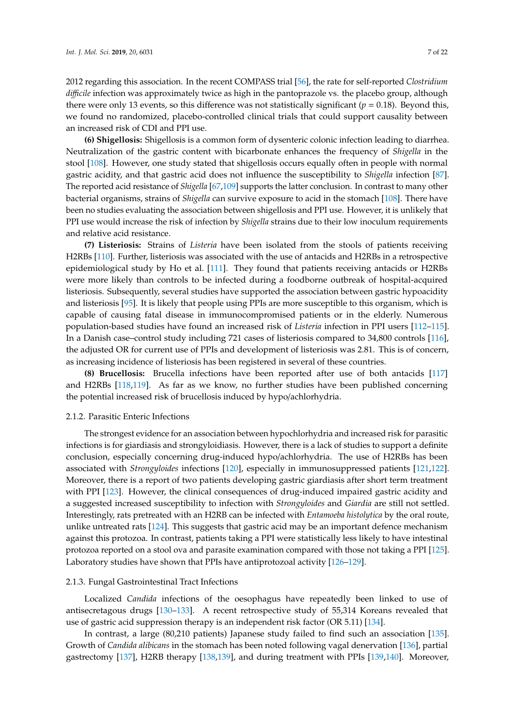2012 regarding this association. In the recent COMPASS trial [\[56\]](#page-14-9), the rate for self-reported *Clostridium di*ffi*cile* infection was approximately twice as high in the pantoprazole vs. the placebo group, although there were only 13 events, so this difference was not statistically significant ( $p = 0.18$ ). Beyond this, we found no randomized, placebo-controlled clinical trials that could support causality between an increased risk of CDI and PPI use.

**(6) Shigellosis:** Shigellosis is a common form of dysenteric colonic infection leading to diarrhea. Neutralization of the gastric content with bicarbonate enhances the frequency of *Shigella* in the stool [\[108\]](#page-16-11). However, one study stated that shigellosis occurs equally often in people with normal gastric acidity, and that gastric acid does not influence the susceptibility to *Shigella* infection [\[87\]](#page-15-13). The reported acid resistance of *Shigella* [\[67,](#page-14-17)[109\]](#page-16-12) supports the latter conclusion. In contrast to many other bacterial organisms, strains of *Shigella* can survive exposure to acid in the stomach [\[108\]](#page-16-11). There have been no studies evaluating the association between shigellosis and PPI use. However, it is unlikely that PPI use would increase the risk of infection by *Shigella* strains due to their low inoculum requirements and relative acid resistance.

**(7) Listeriosis:** Strains of *Listeria* have been isolated from the stools of patients receiving H2RBs [\[110\]](#page-16-13). Further, listeriosis was associated with the use of antacids and H2RBs in a retrospective epidemiological study by Ho et al. [\[111\]](#page-16-14). They found that patients receiving antacids or H2RBs were more likely than controls to be infected during a foodborne outbreak of hospital-acquired listeriosis. Subsequently, several studies have supported the association between gastric hypoacidity and listeriosis [\[95\]](#page-16-1). It is likely that people using PPIs are more susceptible to this organism, which is capable of causing fatal disease in immunocompromised patients or in the elderly. Numerous population-based studies have found an increased risk of *Listeria* infection in PPI users [\[112–](#page-16-15)[115\]](#page-17-0). In a Danish case–control study including 721 cases of listeriosis compared to 34,800 controls [\[116\]](#page-17-1), the adjusted OR for current use of PPIs and development of listeriosis was 2.81. This is of concern, as increasing incidence of listeriosis has been registered in several of these countries.

**(8) Brucellosis:** Brucella infections have been reported after use of both antacids [\[117\]](#page-17-2) and H2RBs [\[118](#page-17-3)[,119\]](#page-17-4). As far as we know, no further studies have been published concerning the potential increased risk of brucellosis induced by hypo/achlorhydria.

#### 2.1.2. Parasitic Enteric Infections

The strongest evidence for an association between hypochlorhydria and increased risk for parasitic infections is for giardiasis and strongyloidiasis. However, there is a lack of studies to support a definite conclusion, especially concerning drug-induced hypo/achlorhydria. The use of H2RBs has been associated with *Strongyloides* infections [\[120\]](#page-17-5), especially in immunosuppressed patients [\[121,](#page-17-6)[122\]](#page-17-7). Moreover, there is a report of two patients developing gastric giardiasis after short term treatment with PPI [\[123\]](#page-17-8). However, the clinical consequences of drug-induced impaired gastric acidity and a suggested increased susceptibility to infection with *Strongyloides* and *Giardia* are still not settled. Interestingly, rats pretreated with an H2RB can be infected with *Entamoeba histolytica* by the oral route, unlike untreated rats [\[124\]](#page-17-9). This suggests that gastric acid may be an important defence mechanism against this protozoa. In contrast, patients taking a PPI were statistically less likely to have intestinal protozoa reported on a stool ova and parasite examination compared with those not taking a PPI [\[125\]](#page-17-10). Laboratory studies have shown that PPIs have antiprotozoal activity [\[126–](#page-17-11)[129\]](#page-17-12).

#### <span id="page-6-0"></span>2.1.3. Fungal Gastrointestinal Tract Infections

Localized *Candida* infections of the oesophagus have repeatedly been linked to use of antisecretagous drugs [\[130–](#page-17-13)[133\]](#page-17-14). A recent retrospective study of 55,314 Koreans revealed that use of gastric acid suppression therapy is an independent risk factor (OR 5.11) [\[134\]](#page-17-15).

In contrast, a large (80,210 patients) Japanese study failed to find such an association [\[135\]](#page-17-16). Growth of *Candida alibicans* in the stomach has been noted following vagal denervation [\[136\]](#page-17-17), partial gastrectomy [\[137\]](#page-17-18), H2RB therapy [\[138,](#page-18-0)[139\]](#page-18-1), and during treatment with PPIs [\[139](#page-18-1)[,140\]](#page-18-2). Moreover,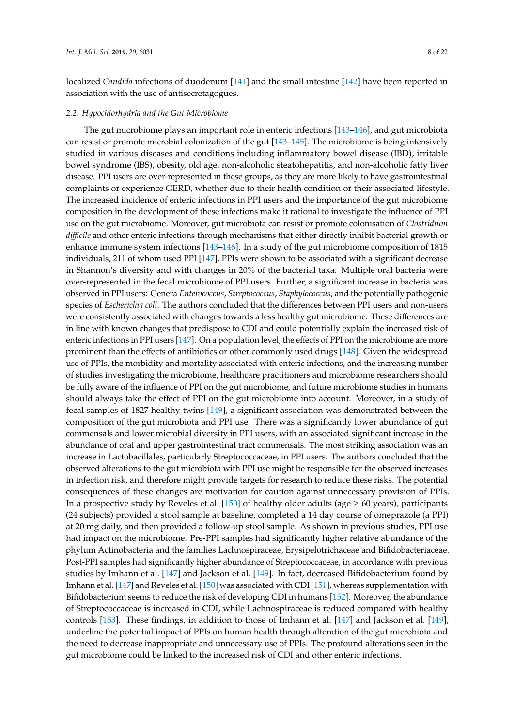localized *Candida* infections of duodenum [\[141\]](#page-18-3) and the small intestine [\[142\]](#page-18-4) have been reported in association with the use of antisecretagogues.

## *2.2. Hypochlorhydria and the Gut Microbiome*

The gut microbiome plays an important role in enteric infections [\[143](#page-18-5)[–146\]](#page-18-6), and gut microbiota can resist or promote microbial colonization of the gut [\[143](#page-18-5)[–145\]](#page-18-7). The microbiome is being intensively studied in various diseases and conditions including inflammatory bowel disease (IBD), irritable bowel syndrome (IBS), obesity, old age, non-alcoholic steatohepatitis, and non-alcoholic fatty liver disease. PPI users are over-represented in these groups, as they are more likely to have gastrointestinal complaints or experience GERD, whether due to their health condition or their associated lifestyle. The increased incidence of enteric infections in PPI users and the importance of the gut microbiome composition in the development of these infections make it rational to investigate the influence of PPI use on the gut microbiome. Moreover, gut microbiota can resist or promote colonisation of *Clostridium di*ffi*cile* and other enteric infections through mechanisms that either directly inhibit bacterial growth or enhance immune system infections [\[143–](#page-18-5)[146\]](#page-18-6). In a study of the gut microbiome composition of 1815 individuals, 211 of whom used PPI [\[147\]](#page-18-8), PPIs were shown to be associated with a significant decrease in Shannon's diversity and with changes in 20% of the bacterial taxa. Multiple oral bacteria were over-represented in the fecal microbiome of PPI users. Further, a significant increase in bacteria was observed in PPI users: Genera *Enterococcus*, *Streptococcus*, *Staphylococcus*, and the potentially pathogenic species of *Escherichia coli*. The authors concluded that the differences between PPI users and non-users were consistently associated with changes towards a less healthy gut microbiome. These differences are in line with known changes that predispose to CDI and could potentially explain the increased risk of enteric infections in PPI users [\[147\]](#page-18-8). On a population level, the effects of PPI on the microbiome are more prominent than the effects of antibiotics or other commonly used drugs [\[148\]](#page-18-9). Given the widespread use of PPIs, the morbidity and mortality associated with enteric infections, and the increasing number of studies investigating the microbiome, healthcare practitioners and microbiome researchers should be fully aware of the influence of PPI on the gut microbiome, and future microbiome studies in humans should always take the effect of PPI on the gut microbiome into account. Moreover, in a study of fecal samples of 1827 healthy twins [\[149\]](#page-18-10), a significant association was demonstrated between the composition of the gut microbiota and PPI use. There was a significantly lower abundance of gut commensals and lower microbial diversity in PPI users, with an associated significant increase in the abundance of oral and upper gastrointestinal tract commensals. The most striking association was an increase in Lactobacillales, particularly Streptococcaceae, in PPI users. The authors concluded that the observed alterations to the gut microbiota with PPI use might be responsible for the observed increases in infection risk, and therefore might provide targets for research to reduce these risks. The potential consequences of these changes are motivation for caution against unnecessary provision of PPIs. In a prospective study by Reveles et al. [\[150\]](#page-18-11) of healthy older adults (age  $\geq 60$  years), participants (24 subjects) provided a stool sample at baseline, completed a 14 day course of omeprazole (a PPI) at 20 mg daily, and then provided a follow-up stool sample. As shown in previous studies, PPI use had impact on the microbiome. Pre-PPI samples had significantly higher relative abundance of the phylum Actinobacteria and the families Lachnospiraceae, Erysipelotrichaceae and Bifidobacteriaceae. Post-PPI samples had significantly higher abundance of Streptococcaceae, in accordance with previous studies by Imhann et al. [\[147\]](#page-18-8) and Jackson et al. [\[149\]](#page-18-10). In fact, decreased Bifidobacterium found by Imhann et al. [\[147\]](#page-18-8) and Reveles et al. [\[150\]](#page-18-11) was associated with CDI [\[151\]](#page-18-12), whereas supplementation with Bifidobacterium seems to reduce the risk of developing CDI in humans [\[152\]](#page-18-13). Moreover, the abundance of Streptococcaceae is increased in CDI, while Lachnospiraceae is reduced compared with healthy controls [\[153\]](#page-18-14). These findings, in addition to those of Imhann et al. [\[147\]](#page-18-8) and Jackson et al. [\[149\]](#page-18-10), underline the potential impact of PPIs on human health through alteration of the gut microbiota and the need to decrease inappropriate and unnecessary use of PPIs. The profound alterations seen in the gut microbiome could be linked to the increased risk of CDI and other enteric infections.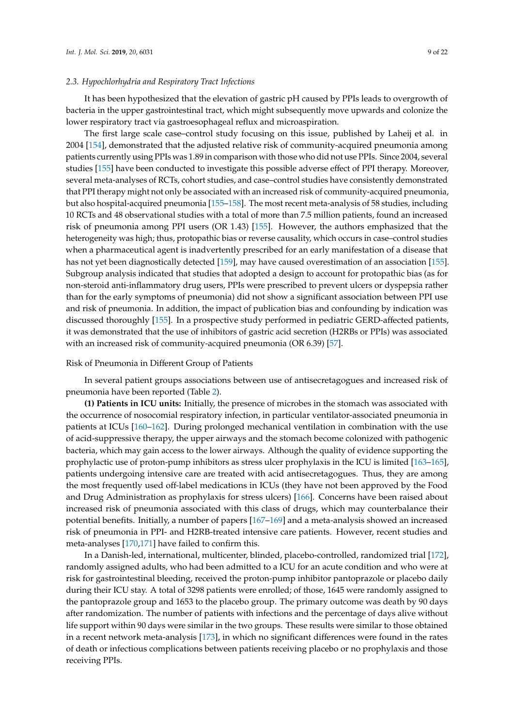# <span id="page-8-0"></span>*2.3. Hypochlorhydria and Respiratory Tract Infections*

It has been hypothesized that the elevation of gastric pH caused by PPIs leads to overgrowth of bacteria in the upper gastrointestinal tract, which might subsequently move upwards and colonize the lower respiratory tract via gastroesophageal reflux and microaspiration.

The first large scale case–control study focusing on this issue, published by Laheij et al. in 2004 [\[154\]](#page-18-15), demonstrated that the adjusted relative risk of community-acquired pneumonia among patients currently using PPIs was 1.89 in comparison with those who did not use PPIs. Since 2004, several studies [\[155\]](#page-18-16) have been conducted to investigate this possible adverse effect of PPI therapy. Moreover, several meta-analyses of RCTs, cohort studies, and case–control studies have consistently demonstrated that PPI therapy might not only be associated with an increased risk of community-acquired pneumonia, but also hospital-acquired pneumonia [\[155–](#page-18-16)[158\]](#page-18-17). The most recent meta-analysis of 58 studies, including 10 RCTs and 48 observational studies with a total of more than 7.5 million patients, found an increased risk of pneumonia among PPI users (OR 1.43) [\[155\]](#page-18-16). However, the authors emphasized that the heterogeneity was high; thus, protopathic bias or reverse causality, which occurs in case–control studies when a pharmaceutical agent is inadvertently prescribed for an early manifestation of a disease that has not yet been diagnostically detected [\[159\]](#page-19-0), may have caused overestimation of an association [\[155\]](#page-18-16). Subgroup analysis indicated that studies that adopted a design to account for protopathic bias (as for non-steroid anti-inflammatory drug users, PPIs were prescribed to prevent ulcers or dyspepsia rather than for the early symptoms of pneumonia) did not show a significant association between PPI use and risk of pneumonia. In addition, the impact of publication bias and confounding by indication was discussed thoroughly [\[155\]](#page-18-16). In a prospective study performed in pediatric GERD-affected patients, it was demonstrated that the use of inhibitors of gastric acid secretion (H2RBs or PPIs) was associated with an increased risk of community-acquired pneumonia (OR 6.39) [\[57\]](#page-14-10).

## Risk of Pneumonia in Different Group of Patients

In several patient groups associations between use of antisecretagogues and increased risk of pneumonia have been reported (Table [2\)](#page-9-0).

**(1) Patients in ICU units:** Initially, the presence of microbes in the stomach was associated with the occurrence of nosocomial respiratory infection, in particular ventilator-associated pneumonia in patients at ICUs [\[160–](#page-19-1)[162\]](#page-19-2). During prolonged mechanical ventilation in combination with the use of acid-suppressive therapy, the upper airways and the stomach become colonized with pathogenic bacteria, which may gain access to the lower airways. Although the quality of evidence supporting the prophylactic use of proton-pump inhibitors as stress ulcer prophylaxis in the ICU is limited [\[163](#page-19-3)[–165\]](#page-19-4), patients undergoing intensive care are treated with acid antisecretagogues. Thus, they are among the most frequently used off-label medications in ICUs (they have not been approved by the Food and Drug Administration as prophylaxis for stress ulcers) [\[166\]](#page-19-5). Concerns have been raised about increased risk of pneumonia associated with this class of drugs, which may counterbalance their potential benefits. Initially, a number of papers [\[167](#page-19-6)[–169\]](#page-19-7) and a meta-analysis showed an increased risk of pneumonia in PPI- and H2RB-treated intensive care patients. However, recent studies and meta-analyses [\[170](#page-19-8)[,171\]](#page-19-9) have failed to confirm this.

In a Danish-led, international, multicenter, blinded, placebo-controlled, randomized trial [\[172\]](#page-19-10), randomly assigned adults, who had been admitted to a ICU for an acute condition and who were at risk for gastrointestinal bleeding, received the proton-pump inhibitor pantoprazole or placebo daily during their ICU stay. A total of 3298 patients were enrolled; of those, 1645 were randomly assigned to the pantoprazole group and 1653 to the placebo group. The primary outcome was death by 90 days after randomization. The number of patients with infections and the percentage of days alive without life support within 90 days were similar in the two groups. These results were similar to those obtained in a recent network meta-analysis [\[173\]](#page-19-11), in which no significant differences were found in the rates of death or infectious complications between patients receiving placebo or no prophylaxis and those receiving PPIs.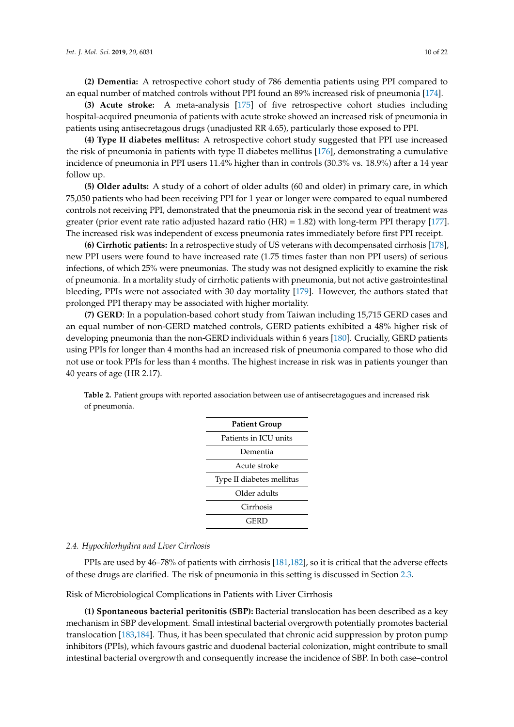**(2) Dementia:** A retrospective cohort study of 786 dementia patients using PPI compared to an equal number of matched controls without PPI found an 89% increased risk of pneumonia [\[174\]](#page-19-12).

**(3) Acute stroke:** A meta-analysis [\[175\]](#page-19-13) of five retrospective cohort studies including hospital-acquired pneumonia of patients with acute stroke showed an increased risk of pneumonia in patients using antisecretagous drugs (unadjusted RR 4.65), particularly those exposed to PPI.

**(4) Type II diabetes mellitus:** A retrospective cohort study suggested that PPI use increased the risk of pneumonia in patients with type II diabetes mellitus [\[176\]](#page-19-14), demonstrating a cumulative incidence of pneumonia in PPI users 11.4% higher than in controls (30.3% vs. 18.9%) after a 14 year follow up.

**(5) Older adults:** A study of a cohort of older adults (60 and older) in primary care, in which 75,050 patients who had been receiving PPI for 1 year or longer were compared to equal numbered controls not receiving PPI, demonstrated that the pneumonia risk in the second year of treatment was greater (prior event rate ratio adjusted hazard ratio  $(HR) = 1.82$ ) with long-term PPI therapy [\[177\]](#page-19-15). The increased risk was independent of excess pneumonia rates immediately before first PPI receipt.

**(6) Cirrhotic patients:** In a retrospective study of US veterans with decompensated cirrhosis [\[178\]](#page-20-0), new PPI users were found to have increased rate (1.75 times faster than non PPI users) of serious infections, of which 25% were pneumonias. The study was not designed explicitly to examine the risk of pneumonia. In a mortality study of cirrhotic patients with pneumonia, but not active gastrointestinal bleeding, PPIs were not associated with 30 day mortality [\[179\]](#page-20-1). However, the authors stated that prolonged PPI therapy may be associated with higher mortality.

**(7) GERD**: In a population-based cohort study from Taiwan including 15,715 GERD cases and an equal number of non-GERD matched controls, GERD patients exhibited a 48% higher risk of developing pneumonia than the non-GERD individuals within 6 years [\[180\]](#page-20-2). Crucially, GERD patients using PPIs for longer than 4 months had an increased risk of pneumonia compared to those who did not use or took PPIs for less than 4 months. The highest increase in risk was in patients younger than 40 years of age (HR 2.17).

<span id="page-9-0"></span>**Table 2.** Patient groups with reported association between use of antisecretagogues and increased risk of pneumonia.

| <b>Patient Group</b>      |  |
|---------------------------|--|
| Patients in ICU units     |  |
| Dementia                  |  |
| Acute stroke              |  |
| Type II diabetes mellitus |  |
| Older adults              |  |
| Cirrhosis                 |  |
| GERD                      |  |

#### *2.4. Hypochlorhydira and Liver Cirrhosis*

PPIs are used by 46–78% of patients with cirrhosis [\[181](#page-20-3)[,182\]](#page-20-4), so it is critical that the adverse effects of these drugs are clarified. The risk of pneumonia in this setting is discussed in Section [2.3.](#page-8-0)

Risk of Microbiological Complications in Patients with Liver Cirrhosis

**(1) Spontaneous bacterial peritonitis (SBP):** Bacterial translocation has been described as a key mechanism in SBP development. Small intestinal bacterial overgrowth potentially promotes bacterial translocation [\[183](#page-20-5)[,184\]](#page-20-6). Thus, it has been speculated that chronic acid suppression by proton pump inhibitors (PPIs), which favours gastric and duodenal bacterial colonization, might contribute to small intestinal bacterial overgrowth and consequently increase the incidence of SBP. In both case–control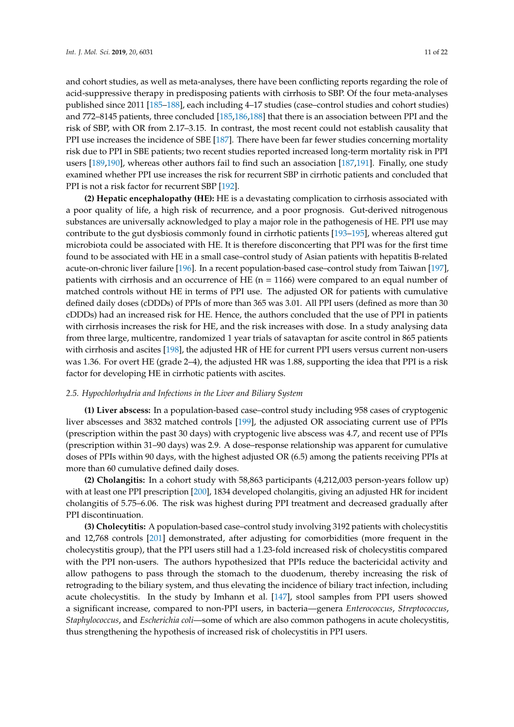and cohort studies, as well as meta-analyses, there have been conflicting reports regarding the role of acid-suppressive therapy in predisposing patients with cirrhosis to SBP. Of the four meta-analyses published since 2011 [\[185](#page-20-7)[–188\]](#page-20-8), each including 4–17 studies (case–control studies and cohort studies) and 772–8145 patients, three concluded [\[185](#page-20-7)[,186](#page-20-9)[,188\]](#page-20-8) that there is an association between PPI and the risk of SBP, with OR from 2.17–3.15. In contrast, the most recent could not establish causality that PPI use increases the incidence of SBE [\[187\]](#page-20-10). There have been far fewer studies concerning mortality risk due to PPI in SBE patients; two recent studies reported increased long-term mortality risk in PPI users [\[189](#page-20-11)[,190\]](#page-20-12), whereas other authors fail to find such an association [\[187,](#page-20-10)[191\]](#page-20-13). Finally, one study examined whether PPI use increases the risk for recurrent SBP in cirrhotic patients and concluded that PPI is not a risk factor for recurrent SBP [\[192\]](#page-20-14).

**(2) Hepatic encephalopathy (HE):** HE is a devastating complication to cirrhosis associated with a poor quality of life, a high risk of recurrence, and a poor prognosis. Gut-derived nitrogenous substances are universally acknowledged to play a major role in the pathogenesis of HE. PPI use may contribute to the gut dysbiosis commonly found in cirrhotic patients [\[193](#page-20-15)[–195\]](#page-20-16), whereas altered gut microbiota could be associated with HE. It is therefore disconcerting that PPI was for the first time found to be associated with HE in a small case–control study of Asian patients with hepatitis B-related acute-on-chronic liver failure [\[196\]](#page-20-17). In a recent population-based case–control study from Taiwan [\[197\]](#page-20-18), patients with cirrhosis and an occurrence of HE ( $n = 1166$ ) were compared to an equal number of matched controls without HE in terms of PPI use. The adjusted OR for patients with cumulative defined daily doses (cDDDs) of PPIs of more than 365 was 3.01. All PPI users (defined as more than 30 cDDDs) had an increased risk for HE. Hence, the authors concluded that the use of PPI in patients with cirrhosis increases the risk for HE, and the risk increases with dose. In a study analysing data from three large, multicentre, randomized 1 year trials of satavaptan for ascite control in 865 patients with cirrhosis and ascites [\[198\]](#page-21-0), the adjusted HR of HE for current PPI users versus current non-users was 1.36. For overt HE (grade 2–4), the adjusted HR was 1.88, supporting the idea that PPI is a risk factor for developing HE in cirrhotic patients with ascites.

# *2.5. Hypochlorhydria and Infections in the Liver and Biliary System*

**(1) Liver abscess:** In a population-based case–control study including 958 cases of cryptogenic liver abscesses and 3832 matched controls [\[199\]](#page-21-1), the adjusted OR associating current use of PPIs (prescription within the past 30 days) with cryptogenic live abscess was 4.7, and recent use of PPIs (prescription within 31–90 days) was 2.9. A dose–response relationship was apparent for cumulative doses of PPIs within 90 days, with the highest adjusted OR (6.5) among the patients receiving PPIs at more than 60 cumulative defined daily doses.

**(2) Cholangitis:** In a cohort study with 58,863 participants (4,212,003 person-years follow up) with at least one PPI prescription [\[200\]](#page-21-2), 1834 developed cholangitis, giving an adjusted HR for incident cholangitis of 5.75–6.06. The risk was highest during PPI treatment and decreased gradually after PPI discontinuation.

**(3) Cholecytitis:** A population-based case–control study involving 3192 patients with cholecystitis and 12,768 controls [\[201\]](#page-21-3) demonstrated, after adjusting for comorbidities (more frequent in the cholecystitis group), that the PPI users still had a 1.23-fold increased risk of cholecystitis compared with the PPI non-users. The authors hypothesized that PPIs reduce the bactericidal activity and allow pathogens to pass through the stomach to the duodenum, thereby increasing the risk of retrograding to the biliary system, and thus elevating the incidence of biliary tract infection, including acute cholecystitis. In the study by Imhann et al. [\[147\]](#page-18-8), stool samples from PPI users showed a significant increase, compared to non-PPI users, in bacteria—genera *Enterococcus*, *Streptococcus*, *Staphylococcus*, and *Escherichia coli*—some of which are also common pathogens in acute cholecystitis, thus strengthening the hypothesis of increased risk of cholecystitis in PPI users.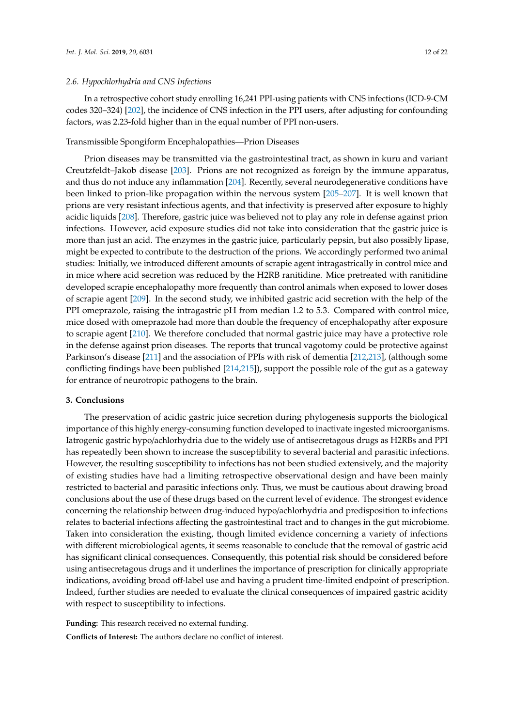## *2.6. Hypochlorhydria and CNS Infections*

In a retrospective cohort study enrolling 16,241 PPI-using patients with CNS infections (ICD-9-CM codes 320–324) [\[202\]](#page-21-4), the incidence of CNS infection in the PPI users, after adjusting for confounding factors, was 2.23-fold higher than in the equal number of PPI non-users.

#### Transmissible Spongiform Encephalopathies—Prion Diseases

Prion diseases may be transmitted via the gastrointestinal tract, as shown in kuru and variant Creutzfeldt–Jakob disease [\[203\]](#page-21-5). Prions are not recognized as foreign by the immune apparatus, and thus do not induce any inflammation [\[204\]](#page-21-6). Recently, several neurodegenerative conditions have been linked to prion-like propagation within the nervous system [\[205–](#page-21-7)[207\]](#page-21-8). It is well known that prions are very resistant infectious agents, and that infectivity is preserved after exposure to highly acidic liquids [\[208\]](#page-21-9). Therefore, gastric juice was believed not to play any role in defense against prion infections. However, acid exposure studies did not take into consideration that the gastric juice is more than just an acid. The enzymes in the gastric juice, particularly pepsin, but also possibly lipase, might be expected to contribute to the destruction of the prions. We accordingly performed two animal studies: Initially, we introduced different amounts of scrapie agent intragastrically in control mice and in mice where acid secretion was reduced by the H2RB ranitidine. Mice pretreated with ranitidine developed scrapie encephalopathy more frequently than control animals when exposed to lower doses of scrapie agent [\[209\]](#page-21-10). In the second study, we inhibited gastric acid secretion with the help of the PPI omeprazole, raising the intragastric pH from median 1.2 to 5.3. Compared with control mice, mice dosed with omeprazole had more than double the frequency of encephalopathy after exposure to scrapie agent [\[210\]](#page-21-11). We therefore concluded that normal gastric juice may have a protective role in the defense against prion diseases. The reports that truncal vagotomy could be protective against Parkinson's disease [\[211\]](#page-21-12) and the association of PPIs with risk of dementia [\[212](#page-21-13)[,213\]](#page-21-14), (although some conflicting findings have been published [\[214](#page-21-15)[,215\]](#page-21-16)), support the possible role of the gut as a gateway for entrance of neurotropic pathogens to the brain.

# **3. Conclusions**

The preservation of acidic gastric juice secretion during phylogenesis supports the biological importance of this highly energy-consuming function developed to inactivate ingested microorganisms. Iatrogenic gastric hypo/achlorhydria due to the widely use of antisecretagous drugs as H2RBs and PPI has repeatedly been shown to increase the susceptibility to several bacterial and parasitic infections. However, the resulting susceptibility to infections has not been studied extensively, and the majority of existing studies have had a limiting retrospective observational design and have been mainly restricted to bacterial and parasitic infections only. Thus, we must be cautious about drawing broad conclusions about the use of these drugs based on the current level of evidence. The strongest evidence concerning the relationship between drug-induced hypo/achlorhydria and predisposition to infections relates to bacterial infections affecting the gastrointestinal tract and to changes in the gut microbiome. Taken into consideration the existing, though limited evidence concerning a variety of infections with different microbiological agents, it seems reasonable to conclude that the removal of gastric acid has significant clinical consequences. Consequently, this potential risk should be considered before using antisecretagous drugs and it underlines the importance of prescription for clinically appropriate indications, avoiding broad off-label use and having a prudent time-limited endpoint of prescription. Indeed, further studies are needed to evaluate the clinical consequences of impaired gastric acidity with respect to susceptibility to infections.

**Funding:** This research received no external funding. **Conflicts of Interest:** The authors declare no conflict of interest.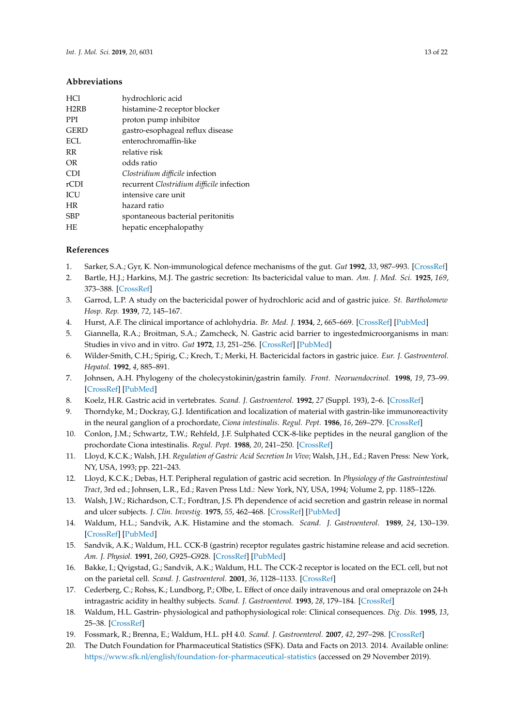# **Abbreviations**

| HCl                           | hydrochloric acid                         |
|-------------------------------|-------------------------------------------|
| H <sub>2</sub> R <sub>B</sub> | histamine-2 receptor blocker              |
| <b>PPI</b>                    | proton pump inhibitor                     |
| <b>GERD</b>                   | gastro-esophageal reflux disease          |
| ECL                           | enterochromaffin-like                     |
| RR.                           | relative risk                             |
| OR                            | odds ratio                                |
| <b>CDI</b>                    | Clostridium difficile infection           |
| rCDI                          | recurrent Clostridium difficile infection |
| <b>ICU</b>                    | intensive care unit                       |
| <b>HR</b>                     | hazard ratio                              |
| <b>SBP</b>                    | spontaneous bacterial peritonitis         |
| <b>HE</b>                     | hepatic encephalopathy                    |
|                               |                                           |

# **References**

- <span id="page-12-0"></span>1. Sarker, S.A.; Gyr, K. Non-immunological defence mechanisms of the gut. *Gut* **1992**, *33*, 987–993. [\[CrossRef\]](http://dx.doi.org/10.1136/gut.33.7.987)
- <span id="page-12-1"></span>2. Bartle, H.J.; Harkins, M.J. The gastric secretion: Its bactericidal value to man. *Am. J. Med. Sci.* **1925**, *169*, 373–388. [\[CrossRef\]](http://dx.doi.org/10.1097/00000441-192503000-00008)
- <span id="page-12-2"></span>3. Garrod, L.P. A study on the bactericidal power of hydrochloric acid and of gastric juice. *St. Bartholomew Hosp. Rep.* **1939**, *72*, 145–167.
- <span id="page-12-3"></span>4. Hurst, A.F. The clinical importance of achlohydria. *Br. Med. J.* **1934**, *2*, 665–669. [\[CrossRef\]](http://dx.doi.org/10.1136/bmj.2.3849.665) [\[PubMed\]](http://www.ncbi.nlm.nih.gov/pubmed/20778583)
- <span id="page-12-4"></span>5. Giannella, R.A.; Broitman, S.A.; Zamcheck, N. Gastric acid barrier to ingestedmicroorganisms in man: Studies in vivo and in vitro. *Gut* **1972**, *13*, 251–256. [\[CrossRef\]](http://dx.doi.org/10.1136/gut.13.4.251) [\[PubMed\]](http://www.ncbi.nlm.nih.gov/pubmed/4556018)
- <span id="page-12-5"></span>6. Wilder-Smith, C.H.; Spirig, C.; Krech, T.; Merki, H. Bactericidal factors in gastric juice. *Eur. J. Gastroenterol. Hepatol.* **1992**, *4*, 885–891.
- <span id="page-12-6"></span>7. Johnsen, A.H. Phylogeny of the cholecystokinin/gastrin family. *Front. Neoruendocrinol.* **1998**, *19*, 73–99. [\[CrossRef\]](http://dx.doi.org/10.1006/frne.1997.0163) [\[PubMed\]](http://www.ncbi.nlm.nih.gov/pubmed/9578981)
- <span id="page-12-7"></span>8. Koelz, H.R. Gastric acid in vertebrates. *Scand. J. Gastroenterol.* **1992**, *27* (Suppl. 193), 2–6. [\[CrossRef\]](http://dx.doi.org/10.3109/00365529209095998)
- <span id="page-12-8"></span>9. Thorndyke, M.; Dockray, G.J. Identification and localization of material with gastrin-like immunoreactivity in the neural ganglion of a prochordate, *Ciona intestinalis*. *Regul. Pept.* **1986**, *16*, 269–279. [\[CrossRef\]](http://dx.doi.org/10.1016/0167-0115(86)90026-1)
- <span id="page-12-9"></span>10. Conlon, J.M.; Schwartz, T.W.; Rehfeld, J.F. Sulphated CCK-8-like peptides in the neural ganglion of the prochordate Ciona intestinalis. *Regul. Pept.* **1988**, *20*, 241–250. [\[CrossRef\]](http://dx.doi.org/10.1016/0167-0115(88)90080-8)
- <span id="page-12-10"></span>11. Lloyd, K.C.K.; Walsh, J.H. *Regulation of Gastric Acid Secretion In Vivo*; Walsh, J.H., Ed.; Raven Press: New York, NY, USA, 1993; pp. 221–243.
- <span id="page-12-11"></span>12. Lloyd, K.C.K.; Debas, H.T. Peripheral regulation of gastric acid secretion. In *Physiology of the Gastrointestinal Tract*, 3rd ed.; Johnsen, L.R., Ed.; Raven Press Ltd.: New York, NY, USA, 1994; Volume 2, pp. 1185–1226.
- <span id="page-12-12"></span>13. Walsh, J.W.; Richardson, C.T.; Fordtran, J.S. Ph dependence of acid secretion and gastrin release in normal and ulcer subjects. *J. Clin. Investig.* **1975**, *55*, 462–468. [\[CrossRef\]](http://dx.doi.org/10.1172/JCI107952) [\[PubMed\]](http://www.ncbi.nlm.nih.gov/pubmed/1167869)
- <span id="page-12-13"></span>14. Waldum, H.L.; Sandvik, A.K. Histamine and the stomach. *Scand. J. Gastroenterol.* **1989**, *24*, 130–139. [\[CrossRef\]](http://dx.doi.org/10.3109/00365528909093027) [\[PubMed\]](http://www.ncbi.nlm.nih.gov/pubmed/2467349)
- 15. Sandvik, A.K.; Waldum, H.L. CCK-B (gastrin) receptor regulates gastric histamine release and acid secretion. *Am. J. Physiol.* **1991**, *260*, G925–G928. [\[CrossRef\]](http://dx.doi.org/10.1152/ajpgi.1991.260.6.G925) [\[PubMed\]](http://www.ncbi.nlm.nih.gov/pubmed/1711780)
- <span id="page-12-14"></span>16. Bakke, I.; Qvigstad, G.; Sandvik, A.K.; Waldum, H.L. The CCK-2 receptor is located on the ECL cell, but not on the parietal cell. *Scand. J. Gastroenterol.* **2001**, *36*, 1128–1133. [\[CrossRef\]](http://dx.doi.org/10.1080/00365520152584734)
- <span id="page-12-15"></span>17. Cederberg, C.; Rohss, K.; Lundborg, P.; Olbe, L. Effect of once daily intravenous and oral omeprazole on 24-h intragastric acidity in healthy subjects. *Scand. J. Gastroenterol.* **1993**, *28*, 179–184. [\[CrossRef\]](http://dx.doi.org/10.3109/00365529309096067)
- <span id="page-12-16"></span>18. Waldum, H.L. Gastrin- physiological and pathophysiological role: Clinical consequences. *Dig. Dis.* **1995**, *13*, 25–38. [\[CrossRef\]](http://dx.doi.org/10.1159/000171484)
- <span id="page-12-17"></span>19. Fossmark, R.; Brenna, E.; Waldum, H.L. pH 4.0. *Scand. J. Gastroenterol.* **2007**, *42*, 297–298. [\[CrossRef\]](http://dx.doi.org/10.1080/00365520600887828)
- <span id="page-12-18"></span>20. The Dutch Foundation for Pharmaceutical Statistics (SFK). Data and Facts on 2013. 2014. Available online: https://www.sfk.nl/english/[foundation-for-pharmaceutical-statistics](https://www.sfk.nl/english/foundation-for-pharmaceutical-statistics) (accessed on 29 November 2019).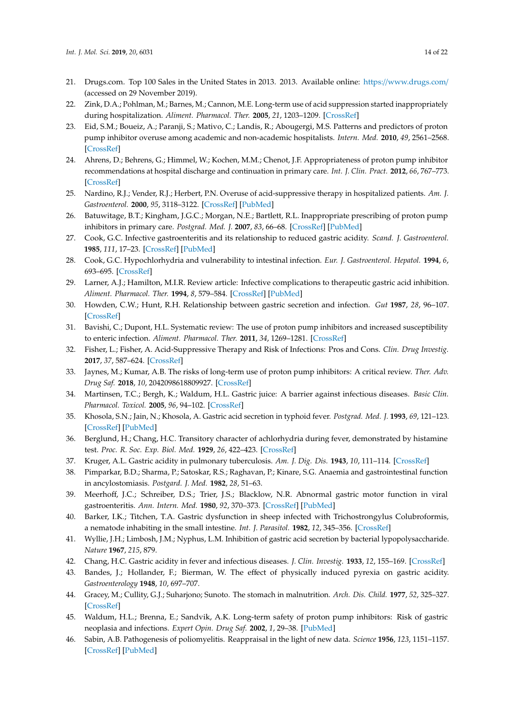- <span id="page-13-0"></span>21. Drugs.com. Top 100 Sales in the United States in 2013. 2013. Available online: https://[www.drugs.com](https://www.drugs.com/)/ (accessed on 29 November 2019).
- <span id="page-13-1"></span>22. Zink, D.A.; Pohlman, M.; Barnes, M.; Cannon, M.E. Long-term use of acid suppression started inappropriately during hospitalization. *Aliment. Pharmacol. Ther.* **2005**, *21*, 1203–1209. [\[CrossRef\]](http://dx.doi.org/10.1111/j.1365-2036.2005.02454.x)
- 23. Eid, S.M.; Boueiz, A.; Paranji, S.; Mativo, C.; Landis, R.; Abougergi, M.S. Patterns and predictors of proton pump inhibitor overuse among academic and non-academic hospitalists. *Intern. Med.* **2010**, *49*, 2561–2568. [\[CrossRef\]](http://dx.doi.org/10.2169/internalmedicine.49.4064)
- 24. Ahrens, D.; Behrens, G.; Himmel, W.; Kochen, M.M.; Chenot, J.F. Appropriateness of proton pump inhibitor recommendations at hospital discharge and continuation in primary care. *Int. J. Clin. Pract.* **2012**, *66*, 767–773. [\[CrossRef\]](http://dx.doi.org/10.1111/j.1742-1241.2012.02973.x)
- 25. Nardino, R.J.; Vender, R.J.; Herbert, P.N. Overuse of acid-suppressive therapy in hospitalized patients. *Am. J. Gastroenterol.* **2000**, *95*, 3118–3122. [\[CrossRef\]](http://dx.doi.org/10.1111/j.1572-0241.2000.02680.x) [\[PubMed\]](http://www.ncbi.nlm.nih.gov/pubmed/11095327)
- <span id="page-13-2"></span>26. Batuwitage, B.T.; Kingham, J.G.C.; Morgan, N.E.; Bartlett, R.L. Inappropriate prescribing of proton pump inhibitors in primary care. *Postgrad. Med. J.* **2007**, *83*, 66–68. [\[CrossRef\]](http://dx.doi.org/10.1136/pgmj.2006.051151) [\[PubMed\]](http://www.ncbi.nlm.nih.gov/pubmed/17267683)
- <span id="page-13-3"></span>27. Cook, G.C. Infective gastroenteritis and its relationship to reduced gastric acidity. *Scand. J. Gastroenterol.* **1985**, *111*, 17–23. [\[CrossRef\]](http://dx.doi.org/10.3109/00365528509093751) [\[PubMed\]](http://www.ncbi.nlm.nih.gov/pubmed/3925541)
- 28. Cook, G.C. Hypochlorhydria and vulnerability to intestinal infection. *Eur. J. Gastroenterol. Hepatol.* **1994**, *6*, 693–695. [\[CrossRef\]](http://dx.doi.org/10.1097/00042737-199408000-00008)
- <span id="page-13-12"></span>29. Larner, A.J.; Hamilton, M.I.R. Review article: Infective complications to therapeutic gastric acid inhibition. *Aliment. Pharmacol. Ther.* **1994**, *8*, 579–584. [\[CrossRef\]](http://dx.doi.org/10.1111/j.1365-2036.1994.tb00333.x) [\[PubMed\]](http://www.ncbi.nlm.nih.gov/pubmed/7696445)
- <span id="page-13-5"></span>30. Howden, C.W.; Hunt, R.H. Relationship between gastric secretion and infection. *Gut* **1987**, *28*, 96–107. [\[CrossRef\]](http://dx.doi.org/10.1136/gut.28.1.96)
- <span id="page-13-17"></span>31. Bavishi, C.; Dupont, H.L. Systematic review: The use of proton pump inhibitors and increased susceptibility to enteric infection. *Aliment. Pharmacol. Ther.* **2011**, *34*, 1269–1281. [\[CrossRef\]](http://dx.doi.org/10.1111/j.1365-2036.2011.04874.x)
- <span id="page-13-14"></span>32. Fisher, L.; Fisher, A. Acid-Suppressive Therapy and Risk of Infections: Pros and Cons. *Clin. Drug Investig.* **2017**, *37*, 587–624. [\[CrossRef\]](http://dx.doi.org/10.1007/s40261-017-0519-y)
- 33. Jaynes, M.; Kumar, A.B. The risks of long-term use of proton pump inhibitors: A critical review. *Ther. Adv. Drug Saf.* **2018**, *10*, 2042098618809927. [\[CrossRef\]](http://dx.doi.org/10.1177/2042098618809927)
- <span id="page-13-4"></span>34. Martinsen, T.C.; Bergh, K.; Waldum, H.L. Gastric juice: A barrier against infectious diseases. *Basic Clin. Pharmacol. Toxicol.* **2005**, *96*, 94–102. [\[CrossRef\]](http://dx.doi.org/10.1111/j.1742-7843.2005.pto960202.x)
- <span id="page-13-6"></span>35. Khosola, S.N.; Jain, N.; Khosola, A. Gastric acid secretion in typhoid fever. *Postgrad. Med. J.* **1993**, *69*, 121–123. [\[CrossRef\]](http://dx.doi.org/10.1136/pgmj.69.808.121) [\[PubMed\]](http://www.ncbi.nlm.nih.gov/pubmed/8506192)
- 36. Berglund, H.; Chang, H.C. Transitory character of achlorhydria during fever, demonstrated by histamine test. *Proc. R. Soc. Exp. Biol. Med.* **1929**, *26*, 422–423. [\[CrossRef\]](http://dx.doi.org/10.3181/00379727-26-4327)
- 37. Kruger, A.L. Gastric acidity in pulmonary tuberculosis. *Am. J. Dig. Dis.* **1943**, *10*, 111–114. [\[CrossRef\]](http://dx.doi.org/10.1007/BF02996950)
- 38. Pimparkar, B.D.; Sharma, P.; Satoskar, R.S.; Raghavan, P.; Kinare, S.G. Anaemia and gastrointestinal function in ancylostomiasis. *Postgard. J. Med.* **1982**, *28*, 51–63.
- <span id="page-13-7"></span>39. Meerhoff, J.C.; Schreiber, D.S.; Trier, J.S.; Blacklow, N.R. Abnormal gastric motor function in viral gastroenteritis. *Ann. Intern. Med.* **1980**, *92*, 370–373. [\[CrossRef\]](http://dx.doi.org/10.7326/0003-4819-92-3-370) [\[PubMed\]](http://www.ncbi.nlm.nih.gov/pubmed/6766695)
- <span id="page-13-8"></span>40. Barker, I.K.; Titchen, T.A. Gastric dysfunction in sheep infected with Trichostrongylus Colubroformis, a nematode inhabiting in the small intestine. *Int. J. Parasitol.* **1982**, *12*, 345–356. [\[CrossRef\]](http://dx.doi.org/10.1016/0020-7519(82)90038-8)
- <span id="page-13-9"></span>41. Wyllie, J.H.; Limbosh, J.M.; Nyphus, L.M. Inhibition of gastric acid secretion by bacterial lypopolysaccharide. *Nature* **1967**, *215*, 879.
- <span id="page-13-10"></span>42. Chang, H.C. Gastric acidity in fever and infectious diseases. *J. Clin. Investig.* **1933**, *12*, 155–169. [\[CrossRef\]](http://dx.doi.org/10.1172/JCI100486)
- <span id="page-13-11"></span>43. Bandes, J.; Hollander, F.; Bierman, W. The effect of physically induced pyrexia on gastric acidity. *Gastroenterology* **1948**, *10*, 697–707.
- <span id="page-13-13"></span>44. Gracey, M.; Cullity, G.J.; Suharjono; Sunoto. The stomach in malnutrition. *Arch. Dis. Child.* **1977**, *52*, 325–327. [\[CrossRef\]](http://dx.doi.org/10.1136/adc.52.4.325)
- <span id="page-13-15"></span>45. Waldum, H.L.; Brenna, E.; Sandvik, A.K. Long-term safety of proton pump inhibitors: Risk of gastric neoplasia and infections. *Expert Opin. Drug Saf.* **2002**, *1*, 29–38. [\[PubMed\]](http://www.ncbi.nlm.nih.gov/pubmed/12904157)
- <span id="page-13-16"></span>46. Sabin, A.B. Pathogenesis of poliomyelitis. Reappraisal in the light of new data. *Science* **1956**, *123*, 1151–1157. [\[CrossRef\]](http://dx.doi.org/10.1126/science.123.3209.1151) [\[PubMed\]](http://www.ncbi.nlm.nih.gov/pubmed/13337331)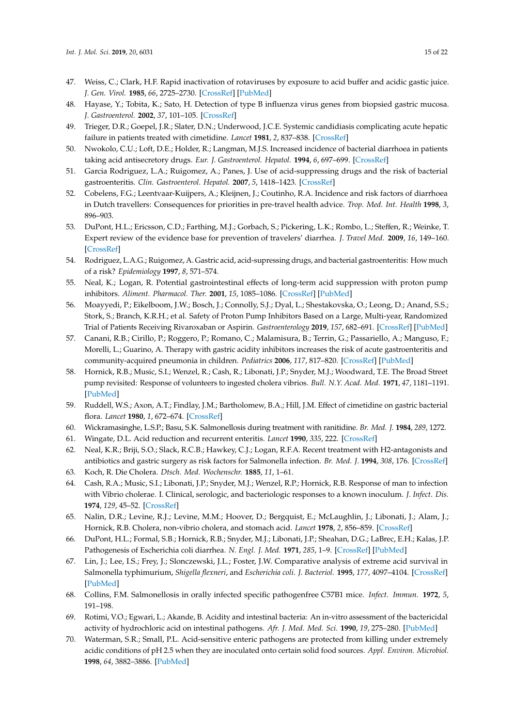- <span id="page-14-0"></span>47. Weiss, C.; Clark, H.F. Rapid inactivation of rotaviruses by exposure to acid buffer and acidic gastic juice. *J. Gen. Virol.* **1985**, *66*, 2725–2730. [\[CrossRef\]](http://dx.doi.org/10.1099/0022-1317-66-12-2725) [\[PubMed\]](http://www.ncbi.nlm.nih.gov/pubmed/2999315)
- <span id="page-14-1"></span>48. Hayase, Y.; Tobita, K.; Sato, H. Detection of type B influenza virus genes from biopsied gastric mucosa. *J. Gastroenterol.* **2002**, *37*, 101–105. [\[CrossRef\]](http://dx.doi.org/10.1007/s005350200003)
- <span id="page-14-2"></span>49. Trieger, D.R.; Goepel, J.R.; Slater, D.N.; Underwood, J.C.E. Systemic candidiasis complicating acute hepatic failure in patients treated with cimetidine. *Lancet* **1981**, *2*, 837–838. [\[CrossRef\]](http://dx.doi.org/10.1016/S0140-6736(81)91106-5)
- <span id="page-14-3"></span>50. Nwokolo, C.U.; Loft, D.E.; Holder, R.; Langman, M.J.S. Increased incidence of bacterial diarrhoea in patients taking acid antisecretory drugs. *Eur. J. Gastroenterol. Hepatol.* **1994**, *6*, 697–699. [\[CrossRef\]](http://dx.doi.org/10.1097/00042737-199408000-00009)
- <span id="page-14-4"></span>51. Garcia Rodriguez, L.A.; Ruigomez, A.; Panes, J. Use of acid-suppressing drugs and the risk of bacterial gastroenteritis. *Clin. Gastroenterol. Hepatol.* **2007**, *5*, 1418–1423. [\[CrossRef\]](http://dx.doi.org/10.1016/j.cgh.2007.09.010)
- <span id="page-14-5"></span>52. Cobelens, F.G.; Leentvaar-Kuijpers, A.; Kleijnen, J.; Coutinho, R.A. Incidence and risk factors of diarrhoea in Dutch travellers: Consequences for priorities in pre-travel health advice. *Trop. Med. Int. Health* **1998**, *3*, 896–903.
- <span id="page-14-6"></span>53. DuPont, H.L.; Ericsson, C.D.; Farthing, M.J.; Gorbach, S.; Pickering, L.K.; Rombo, L.; Steffen, R.; Weinke, T. Expert review of the evidence base for prevention of travelers' diarrhea. *J. Travel Med.* **2009**, *16*, 149–160. [\[CrossRef\]](http://dx.doi.org/10.1111/j.1708-8305.2008.00299.x)
- <span id="page-14-7"></span>54. Rodriguez, L.A.G.; Ruigomez, A. Gastric acid, acid-supressing drugs, and bacterial gastroenteritis: How much of a risk? *Epidemiology* **1997**, *8*, 571–574.
- <span id="page-14-8"></span>55. Neal, K.; Logan, R. Potential gastrointestinal effects of long-term acid suppression with proton pump inhibitors. *Aliment. Pharmacol. Ther.* **2001**, *15*, 1085–1086. [\[CrossRef\]](http://dx.doi.org/10.1046/j.1365-2036.2001.0994a.x) [\[PubMed\]](http://www.ncbi.nlm.nih.gov/pubmed/11421886)
- <span id="page-14-9"></span>56. Moayyedi, P.; Eikelboom, J.W.; Bosch, J.; Connolly, S.J.; Dyal, L.; Shestakovska, O.; Leong, D.; Anand, S.S.; Stork, S.; Branch, K.R.H.; et al. Safety of Proton Pump Inhibitors Based on a Large, Multi-year, Randomized Trial of Patients Receiving Rivaroxaban or Aspirin. *Gastroenterology* **2019**, *157*, 682–691. [\[CrossRef\]](http://dx.doi.org/10.1053/j.gastro.2019.05.056) [\[PubMed\]](http://www.ncbi.nlm.nih.gov/pubmed/31152740)
- <span id="page-14-10"></span>57. Canani, R.B.; Cirillo, P.; Roggero, P.; Romano, C.; Malamisura, B.; Terrin, G.; Passariello, A.; Manguso, F.; Morelli, L.; Guarino, A. Therapy with gastric acidity inhibitors increases the risk of acute gastroenteritis and community-acquired pneumonia in children. *Pediatrics* **2006**, *117*, 817–820. [\[CrossRef\]](http://dx.doi.org/10.1542/peds.2005-1655) [\[PubMed\]](http://www.ncbi.nlm.nih.gov/pubmed/16651285)
- <span id="page-14-11"></span>58. Hornick, R.B.; Music, S.I.; Wenzel, R.; Cash, R.; Libonati, J.P.; Snyder, M.J.; Woodward, T.E. The Broad Street pump revisited: Response of volunteers to ingested cholera vibrios. *Bull. N.Y. Acad. Med.* **1971**, *47*, 1181–1191. [\[PubMed\]](http://www.ncbi.nlm.nih.gov/pubmed/5286453)
- <span id="page-14-21"></span>59. Ruddell, W.S.; Axon, A.T.; Findlay, J.M.; Bartholomew, B.A.; Hill, J.M. Effect of cimetidine on gastric bacterial flora. *Lancet* **1980**, *1*, 672–674. [\[CrossRef\]](http://dx.doi.org/10.1016/S0140-6736(80)92826-3)
- <span id="page-14-22"></span>60. Wickramasinghe, L.S.P.; Basu, S.K. Salmonellosis during treatment with ranitidine. *Br. Med. J.* **1984**, *289*, 1272.
- <span id="page-14-23"></span>61. Wingate, D.L. Acid reduction and recurrent enteritis. *Lancet* **1990**, *335*, 222. [\[CrossRef\]](http://dx.doi.org/10.1016/0140-6736(90)90309-S)
- <span id="page-14-12"></span>62. Neal, K.R.; Briji, S.O.; Slack, R.C.B.; Hawkey, C.J.; Logan, R.F.A. Recent treatment with H2-antagonists and antibiotics and gastric surgery as risk factors for Salmonella infection. *Br. Med. J.* **1994**, *308*, 176. [\[CrossRef\]](http://dx.doi.org/10.1136/bmj.308.6922.176)
- <span id="page-14-13"></span>63. Koch, R. Die Cholera. *Dtsch. Med. Wochenschr.* **1885**, *11*, 1–61.
- <span id="page-14-14"></span>64. Cash, R.A.; Music, S.I.; Libonati, J.P.; Snyder, M.J.; Wenzel, R.P.; Hornick, R.B. Response of man to infection with Vibrio cholerae. I. Clinical, serologic, and bacteriologic responses to a known inoculum. *J. Infect. Dis.* **1974**, *129*, 45–52. [\[CrossRef\]](http://dx.doi.org/10.1093/infdis/129.1.45)
- <span id="page-14-15"></span>65. Nalin, D.R.; Levine, R.J.; Levine, M.M.; Hoover, D.; Bergquist, E.; McLaughlin, J.; Libonati, J.; Alam, J.; Hornick, R.B. Cholera, non-vibrio cholera, and stomach acid. *Lancet* **1978**, *2*, 856–859. [\[CrossRef\]](http://dx.doi.org/10.1016/S0140-6736(78)91568-4)
- <span id="page-14-16"></span>66. DuPont, H.L.; Formal, S.B.; Hornick, R.B.; Snyder, M.J.; Libonati, J.P.; Sheahan, D.G.; LaBrec, E.H.; Kalas, J.P. Pathogenesis of Escherichia coli diarrhea. *N. Engl. J. Med.* **1971**, *285*, 1–9. [\[CrossRef\]](http://dx.doi.org/10.1056/NEJM197107012850101) [\[PubMed\]](http://www.ncbi.nlm.nih.gov/pubmed/4996788)
- <span id="page-14-17"></span>67. Lin, J.; Lee, I.S.; Frey, J.; Slonczewski, J.L.; Foster, J.W. Comparative analysis of extreme acid survival in Salmonella typhimurium, *Shigella flexneri*, and *Escherichia coli*. *J. Bacteriol.* **1995**, *177*, 4097–4104. [\[CrossRef\]](http://dx.doi.org/10.1128/jb.177.14.4097-4104.1995) [\[PubMed\]](http://www.ncbi.nlm.nih.gov/pubmed/7608084)
- <span id="page-14-18"></span>68. Collins, F.M. Salmonellosis in orally infected specific pathogenfree C57B1 mice. *Infect. Immun.* **1972**, *5*, 191–198.
- <span id="page-14-19"></span>69. Rotimi, V.O.; Egwari, L.; Akande, B. Acidity and intestinal bacteria: An in-vitro assessment of the bactericidal activity of hydrochloric acid on intestinal pathogens. *Afr. J. Med. Med. Sci.* **1990**, *19*, 275–280. [\[PubMed\]](http://www.ncbi.nlm.nih.gov/pubmed/2127996)
- <span id="page-14-20"></span>70. Waterman, S.R.; Small, P.L. Acid-sensitive enteric pathogens are protected from killing under extremely acidic conditions of pH 2.5 when they are inoculated onto certain solid food sources. *Appl. Environ. Microbiol.* **1998**, *64*, 3882–3886. [\[PubMed\]](http://www.ncbi.nlm.nih.gov/pubmed/9758814)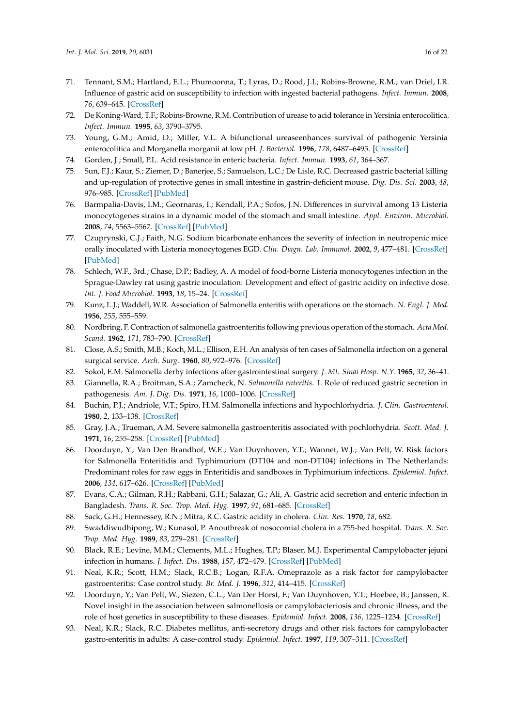- <span id="page-15-0"></span>71. Tennant, S.M.; Hartland, E.L.; Phumoonna, T.; Lyras, D.; Rood, J.I.; Robins-Browne, R.M.; van Driel, I.R. Influence of gastric acid on susceptibility to infection with ingested bacterial pathogens. *Infect. Immun.* **2008**, *76*, 639–645. [\[CrossRef\]](http://dx.doi.org/10.1128/IAI.01138-07)
- <span id="page-15-1"></span>72. De Koning-Ward, T.F.; Robins-Browne, R.M. Contribution of urease to acid tolerance in Yersinia enterocolitica. *Infect. Immun.* **1995**, *63*, 3790–3795.
- <span id="page-15-2"></span>73. Young, G.M.; Amid, D.; Miller, V.L. A bifunctional ureaseenhances survival of pathogenic Yersinia enterocolitica and Morganella morganii at low pH. *J. Bacteriol.* **1996**, *178*, 6487–6495. [\[CrossRef\]](http://dx.doi.org/10.1128/jb.178.22.6487-6495.1996)
- <span id="page-15-4"></span><span id="page-15-3"></span>74. Gorden, J.; Small, P.L. Acid resistance in enteric bacteria. *Infect. Immun.* **1993**, *61*, 364–367.
- 75. Sun, F.J.; Kaur, S.; Ziemer, D.; Banerjee, S.; Samuelson, L.C.; De Lisle, R.C. Decreased gastric bacterial killing and up-regulation of protective genes in small intestine in gastrin-deficient mouse. *Dig. Dis. Sci.* **2003**, *48*, 976–985. [\[CrossRef\]](http://dx.doi.org/10.1023/A:1023068116934) [\[PubMed\]](http://www.ncbi.nlm.nih.gov/pubmed/12772799)
- <span id="page-15-5"></span>76. Barmpalia-Davis, I.M.; Geornaras, I.; Kendall, P.A.; Sofos, J.N. Differences in survival among 13 Listeria monocytogenes strains in a dynamic model of the stomach and small intestine. *Appl. Environ. Microbiol.* **2008**, *74*, 5563–5567. [\[CrossRef\]](http://dx.doi.org/10.1128/AEM.00319-08) [\[PubMed\]](http://www.ncbi.nlm.nih.gov/pubmed/18586963)
- <span id="page-15-6"></span>77. Czuprynski, C.J.; Faith, N.G. Sodium bicarbonate enhances the severity of infection in neutropenic mice orally inoculated with Listeria monocytogenes EGD. *Clin. Diagn. Lab. Immunol.* **2002**, *9*, 477–481. [\[CrossRef\]](http://dx.doi.org/10.1128/CDLI.9.2.477-481.2002) [\[PubMed\]](http://www.ncbi.nlm.nih.gov/pubmed/11874896)
- <span id="page-15-7"></span>78. Schlech, W.F., 3rd.; Chase, D.P.; Badley, A. A model of food-borne Listeria monocytogenes infection in the Sprague-Dawley rat using gastric inoculation: Development and effect of gastric acidity on infective dose. *Int. J. Food Microbiol.* **1993**, *18*, 15–24. [\[CrossRef\]](http://dx.doi.org/10.1016/0168-1605(93)90003-Y)
- <span id="page-15-8"></span>79. Kunz, L.J.; Waddell, W.R. Association of Salmonella enteritis with operations on the stomach. *N. Engl. J. Med.* **1956**, *255*, 555–559.
- <span id="page-15-10"></span>80. Nordbring, F. Contraction of salmonella gastroenteritis following previous operation of the stomach. *Acta Med. Scand.* **1962**, *171*, 783–790. [\[CrossRef\]](http://dx.doi.org/10.1111/j.0954-6820.1962.tb04244.x)
- 81. Close, A.S.; Smith, M.B.; Koch, M.L.; Ellison, E.H. An analysis of ten cases of Salmonella infection on a general surgical service. *Arch. Surg.* **1960**, *80*, 972–976. [\[CrossRef\]](http://dx.doi.org/10.1001/archsurg.1960.01290230090011)
- 82. Sokol, E.M. Salmonella derby infections after gastrointestinal surgery. *J. Mt. Sinai Hosp. N.Y.* **1965**, *32*, 36–41.
- 83. Giannella, R.A.; Broitman, S.A.; Zamcheck, N. *Salmonella enteritis*. I. Role of reduced gastric secretion in pathogenesis. *Am. J. Dig. Dis.* **1971**, *16*, 1000–1006. [\[CrossRef\]](http://dx.doi.org/10.1007/BF02235012)
- <span id="page-15-9"></span>84. Buchin, P.J.; Andriole, V.T.; Spiro, H.M. Salmonella infections and hypochlorhydria. *J. Clin. Gastroenterol.* **1980**, *2*, 133–138. [\[CrossRef\]](http://dx.doi.org/10.1097/00004836-198006000-00005)
- <span id="page-15-11"></span>85. Gray, J.A.; Trueman, A.M. Severe salmonella gastroenteritis associated with pochlorhydria. *Scott. Med. J.* **1971**, *16*, 255–258. [\[CrossRef\]](http://dx.doi.org/10.1177/003693307101600504) [\[PubMed\]](http://www.ncbi.nlm.nih.gov/pubmed/5088719)
- <span id="page-15-12"></span>86. Doorduyn, Y.; Van Den Brandhof, W.E.; Van Duynhoven, Y.T.; Wannet, W.J.; Van Pelt, W. Risk factors for Salmonella Enteritidis and Typhimurium (DT104 and non-DT104) infections in The Netherlands: Predominant roles for raw eggs in Enteritidis and sandboxes in Typhimurium infections. *Epidemiol. Infect.* **2006**, *134*, 617–626. [\[CrossRef\]](http://dx.doi.org/10.1017/S0950268805005406) [\[PubMed\]](http://www.ncbi.nlm.nih.gov/pubmed/16638166)
- <span id="page-15-13"></span>87. Evans, C.A.; Gilman, R.H.; Rabbani, G.H.; Salazar, G.; Ali, A. Gastric acid secretion and enteric infection in Bangladesh. *Trans. R. Soc. Trop. Med. Hyg.* **1997**, *91*, 681–685. [\[CrossRef\]](http://dx.doi.org/10.1016/S0035-9203(97)90523-X)
- <span id="page-15-14"></span>88. Sack, G.H.; Hennessey, R.N.; Mitra, R.C. Gastric acidity in cholera. *Clin. Res.* **1970**, *18*, 682.
- <span id="page-15-15"></span>89. Swaddiwudhipong, W.; Kunasol, P. Anoutbreak of nosocomial cholera in a 755-bed hospital. *Trans. R. Soc. Trop. Med. Hyg.* **1989**, *83*, 279–281. [\[CrossRef\]](http://dx.doi.org/10.1016/0035-9203(89)90680-9)
- <span id="page-15-16"></span>90. Black, R.E.; Levine, M.M.; Clements, M.L.; Hughes, T.P.; Blaser, M.J. Experimental Campylobacter jejuni infection in humans. *J. Infect. Dis.* **1988**, *157*, 472–479. [\[CrossRef\]](http://dx.doi.org/10.1093/infdis/157.3.472) [\[PubMed\]](http://www.ncbi.nlm.nih.gov/pubmed/3343522)
- <span id="page-15-17"></span>91. Neal, K.R.; Scott, H.M.; Slack, R.C.B.; Logan, R.F.A. Omeprazole as a risk factor for campylobacter gastroenteritis: Case control study. *Br. Med. J.* **1996**, *312*, 414–415. [\[CrossRef\]](http://dx.doi.org/10.1136/bmj.312.7028.414)
- <span id="page-15-18"></span>92. Doorduyn, Y.; Van Pelt, W.; Siezen, C.L.; Van Der Horst, F.; Van Duynhoven, Y.T.; Hoebee, B.; Janssen, R. Novel insight in the association between salmonellosis or campylobacteriosis and chronic illness, and the role of host genetics in susceptibility to these diseases. *Epidemiol. Infect.* **2008**, *136*, 1225–1234. [\[CrossRef\]](http://dx.doi.org/10.1017/S095026880700996X)
- 93. Neal, K.R.; Slack, R.C. Diabetes mellitus, anti-secretory drugs and other risk factors for campylobacter gastro-enteritis in adults: A case-control study. *Epidemiol. Infect.* **1997**, *119*, 307–311. [\[CrossRef\]](http://dx.doi.org/10.1017/S0950268897008224)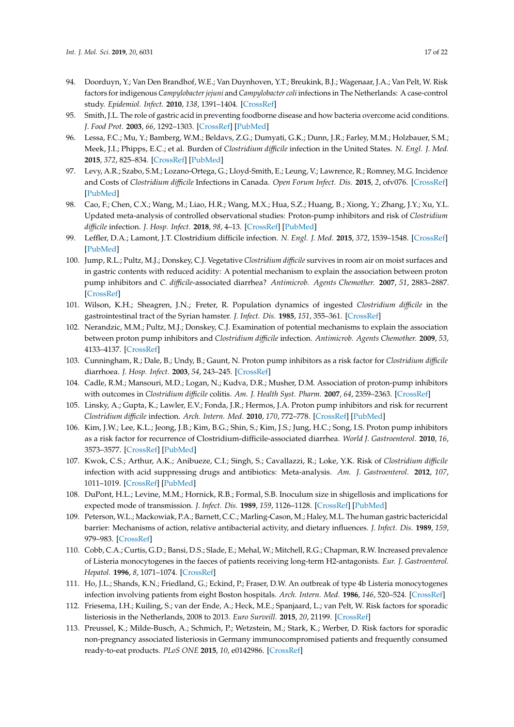- <span id="page-16-0"></span>94. Doorduyn, Y.; Van Den Brandhof, W.E.; Van Duynhoven, Y.T.; Breukink, B.J.; Wagenaar, J.A.; Van Pelt, W. Risk factors for indigenous *Campylobacter jejuni* and *Campylobacter coli* infections in The Netherlands: A case-control study. *Epidemiol. Infect.* **2010**, *138*, 1391–1404. [\[CrossRef\]](http://dx.doi.org/10.1017/S095026881000052X)
- <span id="page-16-1"></span>95. Smith, J.L. The role of gastric acid in preventing foodborne disease and how bacteria overcome acid conditions. *J. Food Prot.* **2003**, *66*, 1292–1303. [\[CrossRef\]](http://dx.doi.org/10.4315/0362-028X-66.7.1292) [\[PubMed\]](http://www.ncbi.nlm.nih.gov/pubmed/12870767)
- <span id="page-16-2"></span>96. Lessa, F.C.; Mu, Y.; Bamberg, W.M.; Beldavs, Z.G.; Dumyati, G.K.; Dunn, J.R.; Farley, M.M.; Holzbauer, S.M.; Meek, J.I.; Phipps, E.C.; et al. Burden of *Clostridium di*ffi*cile* infection in the United States. *N. Engl. J. Med.* **2015**, *372*, 825–834. [\[CrossRef\]](http://dx.doi.org/10.1056/NEJMoa1408913) [\[PubMed\]](http://www.ncbi.nlm.nih.gov/pubmed/25714160)
- 97. Levy, A.R.; Szabo, S.M.; Lozano-Ortega, G.; Lloyd-Smith, E.; Leung, V.; Lawrence, R.; Romney, M.G. Incidence and Costs of *Clostridium di*ffi*cile* Infections in Canada. *Open Forum Infect. Dis.* **2015**, *2*, ofv076. [\[CrossRef\]](http://dx.doi.org/10.1093/ofid/ofv076) [\[PubMed\]](http://www.ncbi.nlm.nih.gov/pubmed/26191534)
- <span id="page-16-3"></span>98. Cao, F.; Chen, C.X.; Wang, M.; Liao, H.R.; Wang, M.X.; Hua, S.Z.; Huang, B.; Xiong, Y.; Zhang, J.Y.; Xu, Y.L. Updated meta-analysis of controlled observational studies: Proton-pump inhibitors and risk of *Clostridium di*ffi*cile* infection. *J. Hosp. Infect.* **2018**, *98*, 4–13. [\[CrossRef\]](http://dx.doi.org/10.1016/j.jhin.2017.08.017) [\[PubMed\]](http://www.ncbi.nlm.nih.gov/pubmed/28842261)
- <span id="page-16-4"></span>99. Leffler, D.A.; Lamont, J.T. Clostridium difficile infection. *N. Engl. J. Med.* **2015**, *372*, 1539–1548. [\[CrossRef\]](http://dx.doi.org/10.1056/NEJMra1403772) [\[PubMed\]](http://www.ncbi.nlm.nih.gov/pubmed/25875259)
- <span id="page-16-5"></span>100. Jump, R.L.; Pultz, M.J.; Donskey, C.J. Vegetative *Clostridium di*ffi*cile* survives in room air on moist surfaces and in gastric contents with reduced acidity: A potential mechanism to explain the association between proton pump inhibitors and *C. di*ffi*cile*-associated diarrhea? *Antimicrob. Agents Chemother.* **2007**, *51*, 2883–2887. [\[CrossRef\]](http://dx.doi.org/10.1128/AAC.01443-06)
- 101. Wilson, K.H.; Sheagren, J.N.; Freter, R. Population dynamics of ingested *Clostridium di*ffi*cile* in the gastrointestinal tract of the Syrian hamster. *J. Infect. Dis.* **1985**, *151*, 355–361. [\[CrossRef\]](http://dx.doi.org/10.1093/infdis/151.2.355)
- <span id="page-16-6"></span>102. Nerandzic, M.M.; Pultz, M.J.; Donskey, C.J. Examination of potential mechanisms to explain the association between proton pump inhibitors and *Clostridium di*ffi*cile* infection. *Antimicrob. Agents Chemother.* **2009**, *53*, 4133–4137. [\[CrossRef\]](http://dx.doi.org/10.1128/AAC.00252-09)
- <span id="page-16-7"></span>103. Cunningham, R.; Dale, B.; Undy, B.; Gaunt, N. Proton pump inhibitors as a risk factor for *Clostridium di*ffi*cile* diarrhoea. *J. Hosp. Infect.* **2003**, *54*, 243–245. [\[CrossRef\]](http://dx.doi.org/10.1016/S0195-6701(03)00088-4)
- <span id="page-16-8"></span>104. Cadle, R.M.; Mansouri, M.D.; Logan, N.; Kudva, D.R.; Musher, D.M. Association of proton-pump inhibitors with outcomes in *Clostridium di*ffi*cile* colitis. *Am. J. Health Syst. Pharm.* **2007**, *64*, 2359–2363. [\[CrossRef\]](http://dx.doi.org/10.2146/ajhp060629)
- 105. Linsky, A.; Gupta, K.; Lawler, E.V.; Fonda, J.R.; Hermos, J.A. Proton pump inhibitors and risk for recurrent *Clostridium di*ffi*cile* infection. *Arch. Intern. Med.* **2010**, *170*, 772–778. [\[CrossRef\]](http://dx.doi.org/10.1001/archinternmed.2010.73) [\[PubMed\]](http://www.ncbi.nlm.nih.gov/pubmed/20458084)
- <span id="page-16-9"></span>106. Kim, J.W.; Lee, K.L.; Jeong, J.B.; Kim, B.G.; Shin, S.; Kim, J.S.; Jung, H.C.; Song, I.S. Proton pump inhibitors as a risk factor for recurrence of Clostridium-difficile-associated diarrhea. *World J. Gastroenterol.* **2010**, *16*, 3573–3577. [\[CrossRef\]](http://dx.doi.org/10.3748/wjg.v16.i28.3573) [\[PubMed\]](http://www.ncbi.nlm.nih.gov/pubmed/20653067)
- <span id="page-16-10"></span>107. Kwok, C.S.; Arthur, A.K.; Anibueze, C.I.; Singh, S.; Cavallazzi, R.; Loke, Y.K. Risk of *Clostridium di*ffi*cile* infection with acid suppressing drugs and antibiotics: Meta-analysis. *Am. J. Gastroenterol.* **2012**, *107*, 1011–1019. [\[CrossRef\]](http://dx.doi.org/10.1038/ajg.2012.108) [\[PubMed\]](http://www.ncbi.nlm.nih.gov/pubmed/22525304)
- <span id="page-16-11"></span>108. DuPont, H.L.; Levine, M.M.; Hornick, R.B.; Formal, S.B. Inoculum size in shigellosis and implications for expected mode of transmission. *J. Infect. Dis.* **1989**, *159*, 1126–1128. [\[CrossRef\]](http://dx.doi.org/10.1093/infdis/159.6.1126) [\[PubMed\]](http://www.ncbi.nlm.nih.gov/pubmed/2656880)
- <span id="page-16-12"></span>109. Peterson, W.L.; Mackowiak, P.A.; Barnett, C.C.; Marling-Cason, M.; Haley, M.L. The human gastric bactericidal barrier: Mechanisms of action, relative antibacterial activity, and dietary influences. *J. Infect. Dis.* **1989**, *159*, 979–983. [\[CrossRef\]](http://dx.doi.org/10.1093/infdis/159.5.979)
- <span id="page-16-13"></span>110. Cobb, C.A.; Curtis, G.D.; Bansi, D.S.; Slade, E.; Mehal, W.; Mitchell, R.G.; Chapman, R.W. Increased prevalence of Listeria monocytogenes in the faeces of patients receiving long-term H2-antagonists. *Eur. J. Gastroenterol. Hepatol.* **1996**, *8*, 1071–1074. [\[CrossRef\]](http://dx.doi.org/10.1097/00042737-199611000-00008)
- <span id="page-16-14"></span>111. Ho, J.L.; Shands, K.N.; Friedland, G.; Eckind, P.; Fraser, D.W. An outbreak of type 4b Listeria monocytogenes infection involving patients from eight Boston hospitals. *Arch. Intern. Med.* **1986**, *146*, 520–524. [\[CrossRef\]](http://dx.doi.org/10.1001/archinte.1986.00360150134016)
- <span id="page-16-15"></span>112. Friesema, I.H.; Kuiling, S.; van der Ende, A.; Heck, M.E.; Spanjaard, L.; van Pelt, W. Risk factors for sporadic listeriosis in the Netherlands, 2008 to 2013. *Euro Surveill.* **2015**, *20*, 21199. [\[CrossRef\]](http://dx.doi.org/10.2807/1560-7917.ES2015.20.31.21199)
- 113. Preussel, K.; Milde-Busch, A.; Schmich, P.; Wetzstein, M.; Stark, K.; Werber, D. Risk factors for sporadic non-pregnancy associated listeriosis in Germany immunocompromised patients and frequently consumed ready-to-eat products. *PLoS ONE* **2015**, *10*, e0142986. [\[CrossRef\]](http://dx.doi.org/10.1371/journal.pone.0142986)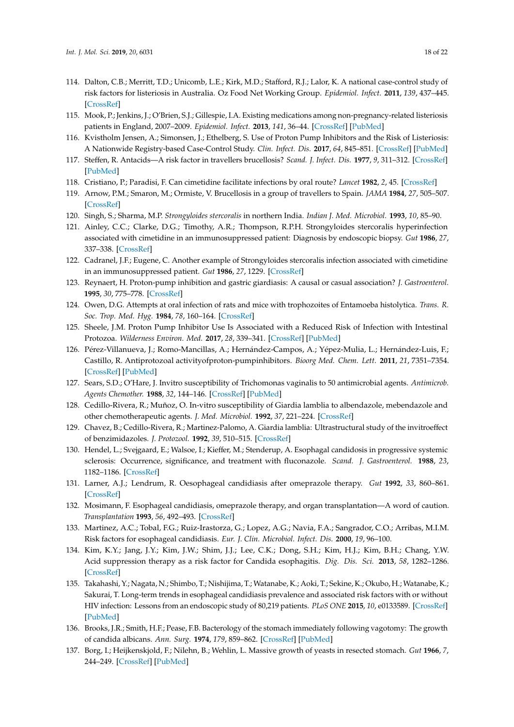- 114. Dalton, C.B.; Merritt, T.D.; Unicomb, L.E.; Kirk, M.D.; Stafford, R.J.; Lalor, K. A national case-control study of risk factors for listeriosis in Australia. Oz Food Net Working Group. *Epidemiol. Infect.* **2011**, *139*, 437–445. [\[CrossRef\]](http://dx.doi.org/10.1017/S0950268810000944)
- <span id="page-17-0"></span>115. Mook, P.; Jenkins, J.; O'Brien, S.J.; Gillespie, I.A. Existing medications among non-pregnancy-related listeriosis patients in England, 2007–2009. *Epidemiol. Infect.* **2013**, *141*, 36–44. [\[CrossRef\]](http://dx.doi.org/10.1017/S095026881200026X) [\[PubMed\]](http://www.ncbi.nlm.nih.gov/pubmed/22404843)
- <span id="page-17-1"></span>116. Kvistholm Jensen, A.; Simonsen, J.; Ethelberg, S. Use of Proton Pump Inhibitors and the Risk of Listeriosis: A Nationwide Registry-based Case-Control Study. *Clin. Infect. Dis.* **2017**, *64*, 845–851. [\[CrossRef\]](http://dx.doi.org/10.1093/cid/ciw860) [\[PubMed\]](http://www.ncbi.nlm.nih.gov/pubmed/28013257)
- <span id="page-17-2"></span>117. Steffen, R. Antacids—A risk factor in travellers brucellosis? *Scand. J. Infect. Dis.* **1977**, *9*, 311–312. [\[CrossRef\]](http://dx.doi.org/10.3109/inf.1977.9.issue-4.11) [\[PubMed\]](http://www.ncbi.nlm.nih.gov/pubmed/579677)
- <span id="page-17-3"></span>118. Cristiano, P.; Paradisi, F. Can cimetidine facilitate infections by oral route? *Lancet* **1982**, *2*, 45. [\[CrossRef\]](http://dx.doi.org/10.1016/S0140-6736(82)91179-5)
- <span id="page-17-4"></span>119. Arnow, P.M.; Smaron, M.; Ormiste, V. Brucellosis in a group of travellers to Spain. *JAMA* **1984**, *27*, 505–507. [\[CrossRef\]](http://dx.doi.org/10.1001/jama.1984.03340280055029)
- <span id="page-17-5"></span>120. Singh, S.; Sharma, M.P. *Strongyloides stercoralis* in northern India. *Indian J. Med. Microbiol.* **1993**, *10*, 85–90.
- <span id="page-17-6"></span>121. Ainley, C.C.; Clarke, D.G.; Timothy, A.R.; Thompson, R.P.H. Strongyloides stercoralis hyperinfection associated with cimetidine in an immunosuppressed patient: Diagnosis by endoscopic biopsy. *Gut* **1986**, *27*, 337–338. [\[CrossRef\]](http://dx.doi.org/10.1136/gut.27.3.337)
- <span id="page-17-7"></span>122. Cadranel, J.F.; Eugene, C. Another example of Strongyloides stercoralis infection associated with cimetidine in an immunosuppressed patient. *Gut* **1986**, *27*, 1229. [\[CrossRef\]](http://dx.doi.org/10.1136/gut.27.10.1229-a)
- <span id="page-17-8"></span>123. Reynaert, H. Proton-pump inhibition and gastric giardiasis: A causal or casual association? *J. Gastroenterol.* **1995**, *30*, 775–778. [\[CrossRef\]](http://dx.doi.org/10.1007/BF02349646)
- <span id="page-17-9"></span>124. Owen, D.G. Attempts at oral infection of rats and mice with trophozoites of Entamoeba histolytica. *Trans. R. Soc. Trop. Med. Hyg.* **1984**, *78*, 160–164. [\[CrossRef\]](http://dx.doi.org/10.1016/0035-9203(84)90266-9)
- <span id="page-17-10"></span>125. Sheele, J.M. Proton Pump Inhibitor Use Is Associated with a Reduced Risk of Infection with Intestinal Protozoa. *Wilderness Environ. Med.* **2017**, *28*, 339–341. [\[CrossRef\]](http://dx.doi.org/10.1016/j.wem.2017.06.008) [\[PubMed\]](http://www.ncbi.nlm.nih.gov/pubmed/28912038)
- <span id="page-17-11"></span>126. Pérez-Villanueva, J.; Romo-Mancillas, A.; Hernández-Campos, A.; Yépez-Mulia, L.; Hernández-Luis, F.; Castillo, R. Antiprotozoal activityofproton-pumpinhibitors. *Bioorg Med. Chem. Lett.* **2011**, *21*, 7351–7354. [\[CrossRef\]](http://dx.doi.org/10.1016/j.bmcl.2011.10.028) [\[PubMed\]](http://www.ncbi.nlm.nih.gov/pubmed/22047694)
- 127. Sears, S.D.; O'Hare, J. Invitro susceptibility of Trichomonas vaginalis to 50 antimicrobial agents. *Antimicrob. Agents Chemother.* **1988**, *32*, 144–146. [\[CrossRef\]](http://dx.doi.org/10.1128/AAC.32.1.144) [\[PubMed\]](http://www.ncbi.nlm.nih.gov/pubmed/3258142)
- 128. Cedillo-Rivera, R.; Muñoz, O. In-vitro susceptibility of Giardia lamblia to albendazole, mebendazole and other chemotherapeutic agents. *J. Med. Microbiol.* **1992**, *37*, 221–224. [\[CrossRef\]](http://dx.doi.org/10.1099/00222615-37-3-221)
- <span id="page-17-12"></span>129. Chavez, B.; Cedillo-Rivera, R.; Martinez-Palomo, A. Giardia lamblia: Ultrastructural study of the invitroeffect of benzimidazoles. *J. Protozool.* **1992**, *39*, 510–515. [\[CrossRef\]](http://dx.doi.org/10.1111/j.1550-7408.1992.tb04841.x)
- <span id="page-17-13"></span>130. Hendel, L.; Svejgaard, E.; Walsoe, I.; Kieffer, M.; Stenderup, A. Esophagal candidosis in progressive systemic sclerosis: Occurrence, significance, and treatment with fluconazole. *Scand. J. Gastroenterol.* **1988**, *23*, 1182–1186. [\[CrossRef\]](http://dx.doi.org/10.3109/00365528809090188)
- 131. Larner, A.J.; Lendrum, R. Oesophageal candidiasis after omeprazole therapy. *Gut* **1992**, *33*, 860–861. [\[CrossRef\]](http://dx.doi.org/10.1136/gut.33.6.860)
- 132. Mosimann, F. Esophageal candidiasis, omeprazole therapy, and organ transplantation—A word of caution. *Transplantation* **1993**, *56*, 492–493. [\[CrossRef\]](http://dx.doi.org/10.1097/00007890-199308000-00054)
- <span id="page-17-14"></span>133. Martinez, A.C.; Tobal, F.G.; Ruiz-Irastorza, G.; Lopez, A.G.; Navia, F.A.; Sangrador, C.O.; Arribas, M.I.M. Risk factors for esophageal candidiasis. *Eur. J. Clin. Microbiol. Infect. Dis.* **2000**, *19*, 96–100.
- <span id="page-17-15"></span>134. Kim, K.Y.; Jang, J.Y.; Kim, J.W.; Shim, J.J.; Lee, C.K.; Dong, S.H.; Kim, H.J.; Kim, B.H.; Chang, Y.W. Acid suppression therapy as a risk factor for Candida esophagitis. *Dig. Dis. Sci.* **2013**, *58*, 1282–1286. [\[CrossRef\]](http://dx.doi.org/10.1007/s10620-012-2520-x)
- <span id="page-17-16"></span>135. Takahashi, Y.; Nagata, N.; Shimbo, T.; Nishijima, T.; Watanabe, K.; Aoki, T.; Sekine, K.; Okubo, H.; Watanabe, K.; Sakurai, T. Long-term trends in esophageal candidiasis prevalence and associated risk factors with or without HIV infection: Lessons from an endoscopic study of 80,219 patients. *PLoS ONE* **2015**, *10*, e0133589. [\[CrossRef\]](http://dx.doi.org/10.1371/journal.pone.0133589) [\[PubMed\]](http://www.ncbi.nlm.nih.gov/pubmed/26208220)
- <span id="page-17-17"></span>136. Brooks, J.R.; Smith, H.F.; Pease, F.B. Bacterology of the stomach immediately following vagotomy: The growth of candida albicans. *Ann. Surg.* **1974**, *179*, 859–862. [\[CrossRef\]](http://dx.doi.org/10.1097/00000658-197406000-00007) [\[PubMed\]](http://www.ncbi.nlm.nih.gov/pubmed/4599845)
- <span id="page-17-18"></span>137. Borg, I.; Heijkenskjold, F.; Nilehn, B.; Wehlin, L. Massive growth of yeasts in resected stomach. *Gut* **1966**, *7*, 244–249. [\[CrossRef\]](http://dx.doi.org/10.1136/gut.7.3.244) [\[PubMed\]](http://www.ncbi.nlm.nih.gov/pubmed/18668801)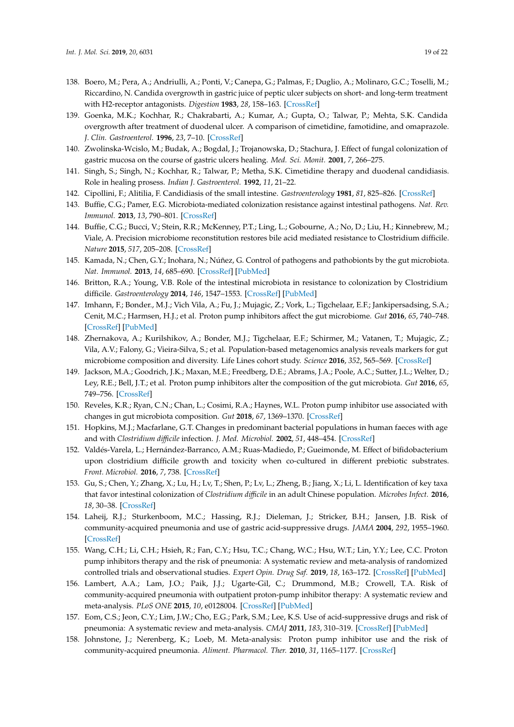- <span id="page-18-0"></span>138. Boero, M.; Pera, A.; Andriulli, A.; Ponti, V.; Canepa, G.; Palmas, F.; Duglio, A.; Molinaro, G.C.; Toselli, M.; Riccardino, N. Candida overgrowth in gastric juice of peptic ulcer subjects on short- and long-term treatment with H2-receptor antagonists. *Digestion* **1983**, *28*, 158–163. [\[CrossRef\]](http://dx.doi.org/10.1159/000198980)
- <span id="page-18-1"></span>139. Goenka, M.K.; Kochhar, R.; Chakrabarti, A.; Kumar, A.; Gupta, O.; Talwar, P.; Mehta, S.K. Candida overgrowth after treatment of duodenal ulcer. A comparison of cimetidine, famotidine, and omaprazole. *J. Clin. Gastroenterol.* **1996**, *23*, 7–10. [\[CrossRef\]](http://dx.doi.org/10.1097/00004836-199607000-00003)
- <span id="page-18-2"></span>140. Zwolinska-Wcislo, M.; Budak, A.; Bogdal, J.; Trojanowska, D.; Stachura, J. Effect of fungal colonization of gastric mucosa on the course of gastric ulcers healing. *Med. Sci. Monit.* **2001**, *7*, 266–275.
- <span id="page-18-3"></span>141. Singh, S.; Singh, N.; Kochhar, R.; Talwar, P.; Metha, S.K. Cimetidine therapy and duodenal candidiasis. Role in healing prosess. *Indian J. Gastroenterol.* **1992**, *11*, 21–22.
- <span id="page-18-4"></span>142. Cipollini, F.; Alitilia, F. Candidiasis of the small intestine. *Gastroenterology* **1981**, *81*, 825–826. [\[CrossRef\]](http://dx.doi.org/10.1016/0016-5085(81)90535-7)
- <span id="page-18-5"></span>143. Buffie, C.G.; Pamer, E.G. Microbiota-mediated colonization resistance against intestinal pathogens. *Nat. Rev. Immunol.* **2013**, *13*, 790–801. [\[CrossRef\]](http://dx.doi.org/10.1038/nri3535)
- 144. Buffie, C.G.; Bucci, V.; Stein, R.R.; McKenney, P.T.; Ling, L.; Gobourne, A.; No, D.; Liu, H.; Kinnebrew, M.; Viale, A. Precision microbiome reconstitution restores bile acid mediated resistance to Clostridium difficile. *Nature* **2015**, *517*, 205–208. [\[CrossRef\]](http://dx.doi.org/10.1038/nature13828)
- <span id="page-18-7"></span>145. Kamada, N.; Chen, G.Y.; Inohara, N.; Núñez, G. Control of pathogens and pathobionts by the gut microbiota. *Nat. Immunol.* **2013**, *14*, 685–690. [\[CrossRef\]](http://dx.doi.org/10.1038/ni.2608) [\[PubMed\]](http://www.ncbi.nlm.nih.gov/pubmed/23778796)
- <span id="page-18-6"></span>146. Britton, R.A.; Young, V.B. Role of the intestinal microbiota in resistance to colonization by Clostridium difficile. *Gastroenterology* **2014**, *146*, 1547–1553. [\[CrossRef\]](http://dx.doi.org/10.1053/j.gastro.2014.01.059) [\[PubMed\]](http://www.ncbi.nlm.nih.gov/pubmed/24503131)
- <span id="page-18-8"></span>147. Imhann, F.; Bonder., M.J.; Vich Vila, A.; Fu, J.; Mujagic, Z.; Vork, L.; Tigchelaar, E.F.; Jankipersadsing, S.A.; Cenit, M.C.; Harmsen, H.J.; et al. Proton pump inhibitors affect the gut microbiome. *Gut* **2016**, *65*, 740–748. [\[CrossRef\]](http://dx.doi.org/10.1136/gutjnl-2015-310376) [\[PubMed\]](http://www.ncbi.nlm.nih.gov/pubmed/26657899)
- <span id="page-18-9"></span>148. Zhernakova, A.; Kurilshikov, A.; Bonder, M.J.; Tigchelaar, E.F.; Schirmer, M.; Vatanen, T.; Mujagic, Z.; Vila, A.V.; Falony, G.; Vieira-Silva, S.; et al. Population-based metagenomics analysis reveals markers for gut microbiome composition and diversity. Life Lines cohort study. *Science* **2016**, *352*, 565–569. [\[CrossRef\]](http://dx.doi.org/10.1126/science.aad3369)
- <span id="page-18-10"></span>149. Jackson, M.A.; Goodrich, J.K.; Maxan, M.E.; Freedberg, D.E.; Abrams, J.A.; Poole, A.C.; Sutter, J.L.; Welter, D.; Ley, R.E.; Bell, J.T.; et al. Proton pump inhibitors alter the composition of the gut microbiota. *Gut* **2016**, *65*, 749–756. [\[CrossRef\]](http://dx.doi.org/10.1136/gutjnl-2015-310861)
- <span id="page-18-11"></span>150. Reveles, K.R.; Ryan, C.N.; Chan, L.; Cosimi, R.A.; Haynes, W.L. Proton pump inhibitor use associated with changes in gut microbiota composition. *Gut* **2018**, *67*, 1369–1370. [\[CrossRef\]](http://dx.doi.org/10.1136/gutjnl-2017-315306)
- <span id="page-18-12"></span>151. Hopkins, M.J.; Macfarlane, G.T. Changes in predominant bacterial populations in human faeces with age and with *Clostridium di*ffi*cile* infection. *J. Med. Microbiol.* **2002**, *51*, 448–454. [\[CrossRef\]](http://dx.doi.org/10.1099/0022-1317-51-5-448)
- <span id="page-18-13"></span>152. Valdés-Varela, L.; Hernández-Barranco, A.M.; Ruas-Madiedo, P.; Gueimonde, M. Effect of bifidobacterium upon clostridium difficile growth and toxicity when co-cultured in different prebiotic substrates. *Front. Microbiol.* **2016**, *7*, 738. [\[CrossRef\]](http://dx.doi.org/10.3389/fmicb.2016.00738)
- <span id="page-18-14"></span>153. Gu, S.; Chen, Y.; Zhang, X.; Lu, H.; Lv, T.; Shen, P.; Lv, L.; Zheng, B.; Jiang, X.; Li, L. Identification of key taxa that favor intestinal colonization of *Clostridium di*ffi*cile* in an adult Chinese population. *Microbes Infect.* **2016**, *18*, 30–38. [\[CrossRef\]](http://dx.doi.org/10.1016/j.micinf.2015.09.008)
- <span id="page-18-15"></span>154. Laheij, R.J.; Sturkenboom, M.C.; Hassing, R.J.; Dieleman, J.; Stricker, B.H.; Jansen, J.B. Risk of community-acquired pneumonia and use of gastric acid-suppressive drugs. *JAMA* **2004**, *292*, 1955–1960. [\[CrossRef\]](http://dx.doi.org/10.1001/jama.292.16.1955)
- <span id="page-18-16"></span>155. Wang, C.H.; Li, C.H.; Hsieh, R.; Fan, C.Y.; Hsu, T.C.; Chang, W.C.; Hsu, W.T.; Lin, Y.Y.; Lee, C.C. Proton pump inhibitors therapy and the risk of pneumonia: A systematic review and meta-analysis of randomized controlled trials and observational studies. *Expert Opin. Drug Saf.* **2019**, *18*, 163–172. [\[CrossRef\]](http://dx.doi.org/10.1080/14740338.2019.1577820) [\[PubMed\]](http://www.ncbi.nlm.nih.gov/pubmed/30704306)
- 156. Lambert, A.A.; Lam, J.O.; Paik, J.J.; Ugarte-Gil, C.; Drummond, M.B.; Crowell, T.A. Risk of community-acquired pneumonia with outpatient proton-pump inhibitor therapy: A systematic review and meta-analysis. *PLoS ONE* **2015**, *10*, e0128004. [\[CrossRef\]](http://dx.doi.org/10.1371/journal.pone.0128004) [\[PubMed\]](http://www.ncbi.nlm.nih.gov/pubmed/26042842)
- 157. Eom, C.S.; Jeon, C.Y.; Lim, J.W.; Cho, E.G.; Park, S.M.; Lee, K.S. Use of acid-suppressive drugs and risk of pneumonia: A systematic review and meta-analysis. *CMAJ* **2011**, *183*, 310–319. [\[CrossRef\]](http://dx.doi.org/10.1503/cmaj.092129) [\[PubMed\]](http://www.ncbi.nlm.nih.gov/pubmed/21173070)
- <span id="page-18-17"></span>158. Johnstone, J.; Nerenberg, K.; Loeb, M. Meta-analysis: Proton pump inhibitor use and the risk of community-acquired pneumonia. *Aliment. Pharmacol. Ther.* **2010**, *31*, 1165–1177. [\[CrossRef\]](http://dx.doi.org/10.1111/j.1365-2036.2010.04284.x)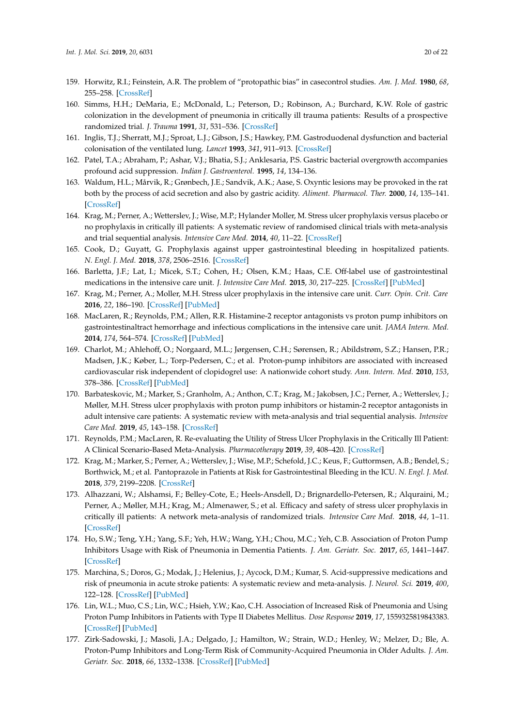- <span id="page-19-0"></span>159. Horwitz, R.I.; Feinstein, A.R. The problem of "protopathic bias" in casecontrol studies. *Am. J. Med.* **1980**, *68*, 255–258. [\[CrossRef\]](http://dx.doi.org/10.1016/0002-9343(80)90363-0)
- <span id="page-19-1"></span>160. Simms, H.H.; DeMaria, E.; McDonald, L.; Peterson, D.; Robinson, A.; Burchard, K.W. Role of gastric colonization in the development of pneumonia in critically ill trauma patients: Results of a prospective randomized trial. *J. Trauma* **1991**, *31*, 531–536. [\[CrossRef\]](http://dx.doi.org/10.1097/00005373-199104000-00013)
- 161. Inglis, T.J.; Sherratt, M.J.; Sproat, L.J.; Gibson, J.S.; Hawkey, P.M. Gastroduodenal dysfunction and bacterial colonisation of the ventilated lung. *Lancet* **1993**, *341*, 911–913. [\[CrossRef\]](http://dx.doi.org/10.1016/0140-6736(93)91208-4)
- <span id="page-19-2"></span>162. Patel, T.A.; Abraham, P.; Ashar, V.J.; Bhatia, S.J.; Anklesaria, P.S. Gastric bacterial overgrowth accompanies profound acid suppression. *Indian J. Gastroenterol.* **1995**, *14*, 134–136.
- <span id="page-19-3"></span>163. Waldum, H.L.; Mårvik, R.; Grønbech, J.E.; Sandvik, A.K.; Aase, S. Oxyntic lesions may be provoked in the rat both by the process of acid secretion and also by gastric acidity. *Aliment. Pharmacol. Ther.* **2000**, *14*, 135–141. [\[CrossRef\]](http://dx.doi.org/10.1046/j.1365-2036.2000.00663.x)
- 164. Krag, M.; Perner, A.; Wetterslev, J.; Wise, M.P.; Hylander Moller, M. Stress ulcer prophylaxis versus placebo or no prophylaxis in critically ill patients: A systematic review of randomised clinical trials with meta-analysis and trial sequential analysis. *Intensive Care Med.* **2014**, *40*, 11–22. [\[CrossRef\]](http://dx.doi.org/10.1007/s00134-013-3125-3)
- <span id="page-19-4"></span>165. Cook, D.; Guyatt, G. Prophylaxis against upper gastrointestinal bleeding in hospitalized patients. *N. Engl. J. Med.* **2018**, *378*, 2506–2516. [\[CrossRef\]](http://dx.doi.org/10.1056/NEJMra1605507)
- <span id="page-19-5"></span>166. Barletta, J.F.; Lat, I.; Micek, S.T.; Cohen, H.; Olsen, K.M.; Haas, C.E. Off-label use of gastrointestinal medications in the intensive care unit. *J. Intensive Care Med.* **2015**, *30*, 217–225. [\[CrossRef\]](http://dx.doi.org/10.1177/0885066613516574) [\[PubMed\]](http://www.ncbi.nlm.nih.gov/pubmed/24362446)
- <span id="page-19-6"></span>167. Krag, M.; Perner, A.; Moller, M.H. Stress ulcer prophylaxis in the intensive care unit. *Curr. Opin. Crit. Care* **2016**, *22*, 186–190. [\[CrossRef\]](http://dx.doi.org/10.1097/MCC.0000000000000290) [\[PubMed\]](http://www.ncbi.nlm.nih.gov/pubmed/26849250)
- 168. MacLaren, R.; Reynolds, P.M.; Allen, R.R. Histamine-2 receptor antagonists vs proton pump inhibitors on gastrointestinaltract hemorrhage and infectious complications in the intensive care unit. *JAMA Intern. Med.* **2014**, *174*, 564–574. [\[CrossRef\]](http://dx.doi.org/10.1001/jamainternmed.2013.14673) [\[PubMed\]](http://www.ncbi.nlm.nih.gov/pubmed/24535015)
- <span id="page-19-7"></span>169. Charlot, M.; Ahlehoff, O.; Norgaard, M.L.; Jørgensen, C.H.; Sørensen, R.; Abildstrøm, S.Z.; Hansen, P.R.; Madsen, J.K.; Køber, L.; Torp-Pedersen, C.; et al. Proton-pump inhibitors are associated with increased cardiovascular risk independent of clopidogrel use: A nationwide cohort study. *Ann. Intern. Med.* **2010**, *153*, 378–386. [\[CrossRef\]](http://dx.doi.org/10.7326/0003-4819-153-6-201009210-00005) [\[PubMed\]](http://www.ncbi.nlm.nih.gov/pubmed/20855802)
- <span id="page-19-8"></span>170. Barbateskovic, M.; Marker, S.; Granholm, A.; Anthon, C.T.; Krag, M.; Jakobsen, J.C.; Perner, A.; Wetterslev, J.; Møller, M.H. Stress ulcer prophylaxis with proton pump inhibitors or histamin-2 receptor antagonists in adult intensive care patients: A systematic review with meta-analysis and trial sequential analysis. *Intensive Care Med.* **2019**, *45*, 143–158. [\[CrossRef\]](http://dx.doi.org/10.1007/s00134-019-05526-z)
- <span id="page-19-9"></span>171. Reynolds, P.M.; MacLaren, R. Re-evaluating the Utility of Stress Ulcer Prophylaxis in the Critically Ill Patient: A Clinical Scenario-Based Meta-Analysis. *Pharmacotherapy* **2019**, *39*, 408–420. [\[CrossRef\]](http://dx.doi.org/10.1002/phar.2172)
- <span id="page-19-10"></span>172. Krag, M.; Marker, S.; Perner, A.; Wetterslev, J.; Wise, M.P.; Schefold, J.C.; Keus, F.; Guttormsen, A.B.; Bendel, S.; Borthwick, M.; et al. Pantoprazole in Patients at Risk for Gastrointestinal Bleeding in the ICU. *N. Engl. J. Med.* **2018**, *379*, 2199–2208. [\[CrossRef\]](http://dx.doi.org/10.1056/NEJMoa1714919)
- <span id="page-19-11"></span>173. Alhazzani, W.; Alshamsi, F.; Belley-Cote, E.; Heels-Ansdell, D.; Brignardello-Petersen, R.; Alquraini, M.; Perner, A.; Møller, M.H.; Krag, M.; Almenawer, S.; et al. Efficacy and safety of stress ulcer prophylaxis in critically ill patients: A network meta-analysis of randomized trials. *Intensive Care Med.* **2018**, *44*, 1–11. [\[CrossRef\]](http://dx.doi.org/10.1007/s00134-017-5005-8)
- <span id="page-19-12"></span>174. Ho, S.W.; Teng, Y.H.; Yang, S.F.; Yeh, H.W.; Wang, Y.H.; Chou, M.C.; Yeh, C.B. Association of Proton Pump Inhibitors Usage with Risk of Pneumonia in Dementia Patients. *J. Am. Geriatr. Soc.* **2017**, *65*, 1441–1447. [\[CrossRef\]](http://dx.doi.org/10.1111/jgs.14813)
- <span id="page-19-13"></span>175. Marchina, S.; Doros, G.; Modak, J.; Helenius, J.; Aycock, D.M.; Kumar, S. Acid-suppressive medications and risk of pneumonia in acute stroke patients: A systematic review and meta-analysis. *J. Neurol. Sci.* **2019**, *400*, 122–128. [\[CrossRef\]](http://dx.doi.org/10.1016/j.jns.2019.02.041) [\[PubMed\]](http://www.ncbi.nlm.nih.gov/pubmed/30927619)
- <span id="page-19-14"></span>176. Lin, W.L.; Muo, C.S.; Lin, W.C.; Hsieh, Y.W.; Kao, C.H. Association of Increased Risk of Pneumonia and Using Proton Pump Inhibitors in Patients with Type II Diabetes Mellitus. *Dose Response* **2019**, *17*, 1559325819843383. [\[CrossRef\]](http://dx.doi.org/10.1177/1559325819843383) [\[PubMed\]](http://www.ncbi.nlm.nih.gov/pubmed/31080379)
- <span id="page-19-15"></span>177. Zirk-Sadowski, J.; Masoli, J.A.; Delgado, J.; Hamilton, W.; Strain, W.D.; Henley, W.; Melzer, D.; Ble, A. Proton-Pump Inhibitors and Long-Term Risk of Community-Acquired Pneumonia in Older Adults. *J. Am. Geriatr. Soc.* **2018**, *66*, 1332–1338. [\[CrossRef\]](http://dx.doi.org/10.1111/jgs.15385) [\[PubMed\]](http://www.ncbi.nlm.nih.gov/pubmed/29676433)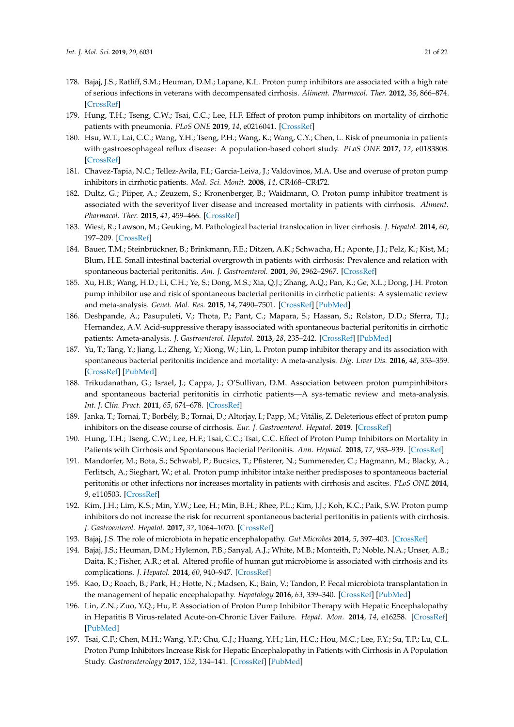- <span id="page-20-0"></span>178. Bajaj, J.S.; Ratliff, S.M.; Heuman, D.M.; Lapane, K.L. Proton pump inhibitors are associated with a high rate of serious infections in veterans with decompensated cirrhosis. *Aliment. Pharmacol. Ther.* **2012**, *36*, 866–874. [\[CrossRef\]](http://dx.doi.org/10.1111/apt.12045)
- <span id="page-20-1"></span>179. Hung, T.H.; Tseng, C.W.; Tsai, C.C.; Lee, H.F. Effect of proton pump inhibitors on mortality of cirrhotic patients with pneumonia. *PLoS ONE* **2019**, *14*, e0216041. [\[CrossRef\]](http://dx.doi.org/10.1371/journal.pone.0216041)
- <span id="page-20-2"></span>180. Hsu, W.T.; Lai, C.C.; Wang, Y.H.; Tseng, P.H.; Wang, K.; Wang, C.Y.; Chen, L. Risk of pneumonia in patients with gastroesophageal reflux disease: A population-based cohort study. *PLoS ONE* **2017**, *12*, e0183808. [\[CrossRef\]](http://dx.doi.org/10.1371/journal.pone.0183808)
- <span id="page-20-3"></span>181. Chavez-Tapia, N.C.; Tellez-Avila, F.I.; Garcia-Leiva, J.; Valdovinos, M.A. Use and overuse of proton pump inhibitors in cirrhotic patients. *Med. Sci. Monit.* **2008**, *14*, CR468–CR472.
- <span id="page-20-4"></span>182. Dultz, G.; Piiper, A.; Zeuzem, S.; Kronenberger, B.; Waidmann, O. Proton pump inhibitor treatment is associated with the severityof liver disease and increased mortality in patients with cirrhosis. *Aliment. Pharmacol. Ther.* **2015**, *41*, 459–466. [\[CrossRef\]](http://dx.doi.org/10.1111/apt.13061)
- <span id="page-20-5"></span>183. Wiest, R.; Lawson, M.; Geuking, M. Pathological bacterial translocation in liver cirrhosis. *J. Hepatol.* **2014**, *60*, 197–209. [\[CrossRef\]](http://dx.doi.org/10.1016/j.jhep.2013.07.044)
- <span id="page-20-6"></span>184. Bauer, T.M.; Steinbrückner, B.; Brinkmann, F.E.; Ditzen, A.K.; Schwacha, H.; Aponte, J.J.; Pelz, K.; Kist, M.; Blum, H.E. Small intestinal bacterial overgrowth in patients with cirrhosis: Prevalence and relation with spontaneous bacterial peritonitis. *Am. J. Gastroenterol.* **2001**, *96*, 2962–2967. [\[CrossRef\]](http://dx.doi.org/10.1111/j.1572-0241.2001.04668.x)
- <span id="page-20-7"></span>185. Xu, H.B.; Wang, H.D.; Li, C.H.; Ye, S.; Dong, M.S.; Xia, Q.J.; Zhang, A.Q.; Pan, K.; Ge, X.L.; Dong, J.H. Proton pump inhibitor use and risk of spontaneous bacterial peritonitis in cirrhotic patients: A systematic review and meta-analysis. *Genet. Mol. Res.* **2015**, *14*, 7490–7501. [\[CrossRef\]](http://dx.doi.org/10.4238/2015.July.3.25) [\[PubMed\]](http://www.ncbi.nlm.nih.gov/pubmed/26214428)
- <span id="page-20-9"></span>186. Deshpande, A.; Pasupuleti, V.; Thota, P.; Pant, C.; Mapara, S.; Hassan, S.; Rolston, D.D.; Sferra, T.J.; Hernandez, A.V. Acid-suppressive therapy isassociated with spontaneous bacterial peritonitis in cirrhotic patients: Ameta-analysis. *J. Gastroenterol. Hepatol.* **2013**, *28*, 235–242. [\[CrossRef\]](http://dx.doi.org/10.1111/jgh.12065) [\[PubMed\]](http://www.ncbi.nlm.nih.gov/pubmed/23190338)
- <span id="page-20-10"></span>187. Yu, T.; Tang, Y.; Jiang, L.; Zheng, Y.; Xiong, W.; Lin, L. Proton pump inhibitor therapy and its association with spontaneous bacterial peritonitis incidence and mortality: A meta-analysis. *Dig. Liver Dis.* **2016**, *48*, 353–359. [\[CrossRef\]](http://dx.doi.org/10.1016/j.dld.2015.12.009) [\[PubMed\]](http://www.ncbi.nlm.nih.gov/pubmed/26795544)
- <span id="page-20-8"></span>188. Trikudanathan, G.; Israel, J.; Cappa, J.; O'Sullivan, D.M. Association between proton pumpinhibitors and spontaneous bacterial peritonitis in cirrhotic patients—A sys-tematic review and meta-analysis. *Int. J. Clin. Pract.* **2011**, *65*, 674–678. [\[CrossRef\]](http://dx.doi.org/10.1111/j.1742-1241.2011.02650.x)
- <span id="page-20-11"></span>189. Janka, T.; Tornai, T.; Borbély, B.; Tornai, D.; Altorjay, I.; Papp, M.; Vitális, Z. Deleterious effect of proton pump inhibitors on the disease course of cirrhosis. *Eur. J. Gastroenterol. Hepatol.* **2019**. [\[CrossRef\]](http://dx.doi.org/10.1097/MEG.0000000000001499)
- <span id="page-20-12"></span>190. Hung, T.H.; Tseng, C.W.; Lee, H.F.; Tsai, C.C.; Tsai, C.C. Effect of Proton Pump Inhibitors on Mortality in Patients with Cirrhosis and Spontaneous Bacterial Peritonitis. *Ann. Hepatol.* **2018**, *17*, 933–939. [\[CrossRef\]](http://dx.doi.org/10.5604/01.3001.0012.7193)
- <span id="page-20-13"></span>191. Mandorfer, M.; Bota, S.; Schwabl, P.; Bucsics, T.; Pfisterer, N.; Summereder, C.; Hagmann, M.; Blacky, A.; Ferlitsch, A.; Sieghart, W.; et al. Proton pump inhibitor intake neither predisposes to spontaneous bacterial peritonitis or other infections nor increases mortality in patients with cirrhosis and ascites. *PLoS ONE* **2014**, *9*, e110503. [\[CrossRef\]](http://dx.doi.org/10.1371/journal.pone.0110503)
- <span id="page-20-14"></span>192. Kim, J.H.; Lim, K.S.; Min, Y.W.; Lee, H.; Min, B.H.; Rhee, P.L.; Kim, J.J.; Koh, K.C.; Paik, S.W. Proton pump inhibitors do not increase the risk for recurrent spontaneous bacterial peritonitis in patients with cirrhosis. *J. Gastroenterol. Hepatol.* **2017**, *32*, 1064–1070. [\[CrossRef\]](http://dx.doi.org/10.1111/jgh.13637)
- <span id="page-20-15"></span>193. Bajaj, J.S. The role of microbiota in hepatic encephalopathy. *Gut Microbes* **2014**, *5*, 397–403. [\[CrossRef\]](http://dx.doi.org/10.4161/gmic.28684)
- 194. Bajaj, J.S.; Heuman, D.M.; Hylemon, P.B.; Sanyal, A.J.; White, M.B.; Monteith, P.; Noble, N.A.; Unser, A.B.; Daita, K.; Fisher, A.R.; et al. Altered profile of human gut microbiome is associated with cirrhosis and its complications. *J. Hepatol.* **2014**, *60*, 940–947. [\[CrossRef\]](http://dx.doi.org/10.1016/j.jhep.2013.12.019)
- <span id="page-20-16"></span>195. Kao, D.; Roach, B.; Park, H.; Hotte, N.; Madsen, K.; Bain, V.; Tandon, P. Fecal microbiota transplantation in the management of hepatic encephalopathy. *Hepatology* **2016**, *63*, 339–340. [\[CrossRef\]](http://dx.doi.org/10.1002/hep.28121) [\[PubMed\]](http://www.ncbi.nlm.nih.gov/pubmed/26264779)
- <span id="page-20-17"></span>196. Lin, Z.N.; Zuo, Y.Q.; Hu, P. Association of Proton Pump Inhibitor Therapy with Hepatic Encephalopathy in Hepatitis B Virus-related Acute-on-Chronic Liver Failure. *Hepat. Mon.* **2014**, *14*, e16258. [\[CrossRef\]](http://dx.doi.org/10.5812/hepatmon.16258) [\[PubMed\]](http://www.ncbi.nlm.nih.gov/pubmed/24748895)
- <span id="page-20-18"></span>197. Tsai, C.F.; Chen, M.H.; Wang, Y.P.; Chu, C.J.; Huang, Y.H.; Lin, H.C.; Hou, M.C.; Lee, F.Y.; Su, T.P.; Lu, C.L. Proton Pump Inhibitors Increase Risk for Hepatic Encephalopathy in Patients with Cirrhosis in A Population Study. *Gastroenterology* **2017**, *152*, 134–141. [\[CrossRef\]](http://dx.doi.org/10.1053/j.gastro.2016.09.007) [\[PubMed\]](http://www.ncbi.nlm.nih.gov/pubmed/27639806)